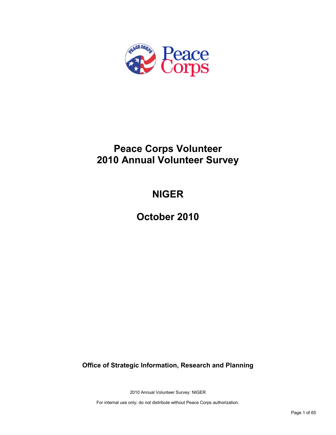

# **Peace Corps Volunteer 2010 Annual Volunteer Survey**

# **NIGER**

**October 2010**

**Office of Strategic Information, Research and Planning**

2010 Annual Volunteer Survey: NIGER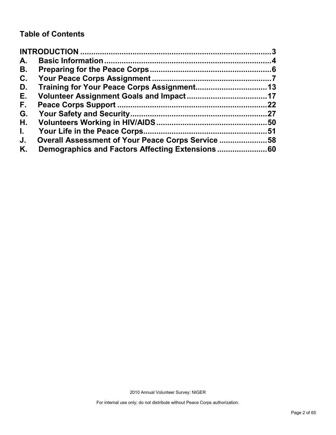# **Table of Contents**

| A.           |                                                   |    |
|--------------|---------------------------------------------------|----|
| В.           |                                                   |    |
| C.           |                                                   |    |
| D.           |                                                   |    |
| Е.           |                                                   |    |
| F.           |                                                   | 22 |
| G.           |                                                   |    |
| Н.           |                                                   |    |
| $\mathbf{L}$ |                                                   |    |
| J.           | Overall Assessment of Your Peace Corps Service 58 |    |
| Κ.           |                                                   |    |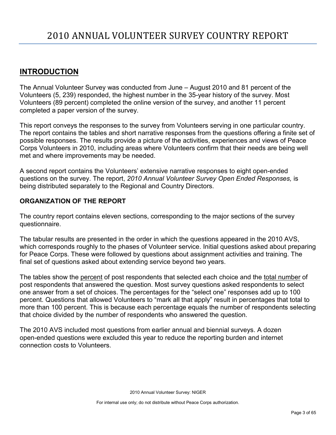# <span id="page-2-0"></span>**INTRODUCTION**

The Annual Volunteer Survey was conducted from June – August 2010 and 81 percent of the Volunteers (5, 239) responded, the highest number in the 35-year history of the survey. Most Volunteers (89 percent) completed the online version of the survey, and another 11 percent completed a paper version of the survey.

This report conveys the responses to the survey from Volunteers serving in one particular country. The report contains the tables and short narrative responses from the questions offering a finite set of possible responses. The results provide a picture of the activities, experiences and views of Peace Corps Volunteers in 2010, including areas where Volunteers confirm that their needs are being well met and where improvements may be needed.

A second report contains the Volunteers' extensive narrative responses to eight open-ended questions on the survey. The report, *2010 Annual Volunteer Survey Open Ended Responses,* is being distributed separately to the Regional and Country Directors.

# **ORGANIZATION OF THE REPORT**

The country report contains eleven sections, corresponding to the major sections of the survey questionnaire.

The tabular results are presented in the order in which the questions appeared in the 2010 AVS, which corresponds roughly to the phases of Volunteer service. Initial questions asked about preparing for Peace Corps. These were followed by questions about assignment activities and training. The final set of questions asked about extending service beyond two years.

The tables show the percent of post respondents that selected each choice and the total number of post respondents that answered the question. Most survey questions asked respondents to select one answer from a set of choices. The percentages for the "select one" responses add up to 100 percent. Questions that allowed Volunteers to "mark all that apply" result in percentages that total to more than 100 percent. This is because each percentage equals the number of respondents selecting that choice divided by the number of respondents who answered the question.

The 2010 AVS included most questions from earlier annual and biennial surveys. A dozen open-ended questions were excluded this year to reduce the reporting burden and internet connection costs to Volunteers.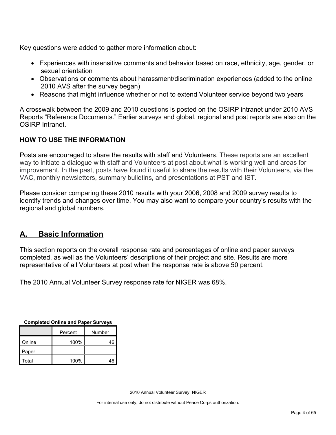Key questions were added to gather more information about:

- Experiences with insensitive comments and behavior based on race, ethnicity, age, gender, or sexual orientation
- Observations or comments about harassment/discrimination experiences (added to the online 2010 AVS after the survey began)
- Reasons that might influence whether or not to extend Volunteer service beyond two years

A crosswalk between the 2009 and 2010 questions is posted on the OSIRP intranet under 2010 AVS Reports "Reference Documents." Earlier surveys and global, regional and post reports are also on the OSIRP Intranet.

# **HOW TO USE THE INFORMATION**

Posts are encouraged to share the results with staff and Volunteers. These reports are an excellent way to initiate a dialogue with staff and Volunteers at post about what is working well and areas for improvement. In the past, posts have found it useful to share the results with their Volunteers, via the VAC, monthly newsletters, summary bulletins, and presentations at PST and IST.

Please consider comparing these 2010 results with your 2006, 2008 and 2009 survey results to identify trends and changes over time. You may also want to compare your country's results with the regional and global numbers.

# <span id="page-3-0"></span>**A. Basic Information**

This section reports on the overall response rate and percentages of online and paper surveys completed, as well as the Volunteers' descriptions of their project and site. Results are more representative of all Volunteers at post when the response rate is above 50 percent.

The 2010 Annual Volunteer Survey response rate for NIGER was 68%.

| <b>Completed Online and Paper Surveys</b> |
|-------------------------------------------|
|-------------------------------------------|

|        | Percent | Number |
|--------|---------|--------|
| Online | 100%    | 46     |
| Paper  |         |        |
| Total  | 100%    | 46     |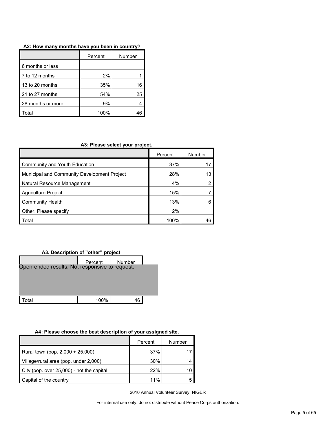| A2: How many months have you been in country? |  |  |  |  |  |  |  |  |  |  |
|-----------------------------------------------|--|--|--|--|--|--|--|--|--|--|
|-----------------------------------------------|--|--|--|--|--|--|--|--|--|--|

|                   | Percent | Number |
|-------------------|---------|--------|
| 6 months or less  |         |        |
| 7 to 12 months    | 2%      |        |
| 13 to 20 months   | 35%     | 16     |
| 21 to 27 months   | 54%     | 25     |
| 28 months or more | 9%      |        |
| otal.             | 100%    |        |

| A3: Please select your project. |  |
|---------------------------------|--|
|---------------------------------|--|

|                                             | Percent | Number |
|---------------------------------------------|---------|--------|
| Community and Youth Education               | 37%     |        |
| Municipal and Community Development Project | 28%     | 13     |
| Natural Resource Management                 | 4%      |        |
| Agriculture Project                         | 15%     |        |
| <b>Community Health</b>                     | 13%     |        |
| Other. Please specify                       | 2%      |        |
| Total                                       | 100%    | 46     |





# **A4: Please choose the best description of your assigned site.**

|                                           | Percent | Number |
|-------------------------------------------|---------|--------|
| Rural town (pop. 2,000 + 25,000)          | 37%     |        |
| Village/rural area (pop. under 2,000)     | 30%     | 14     |
| City (pop. over 25,000) - not the capital | 22%     | 10     |
| Capital of the country                    | 11%     |        |

2010 Annual Volunteer Survey: NIGER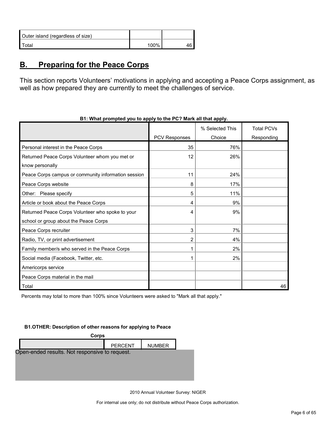| Outer island (regardless of size) |      |  |
|-----------------------------------|------|--|
| Total                             | 100% |  |

# <span id="page-5-0"></span>**B. Preparing for the Peace Corps**

This section reports Volunteers' motivations in applying and accepting a Peace Corps assignment, as well as how prepared they are currently to meet the challenges of service.

|                                                     |                      | % Selected This | <b>Total PCVs</b> |
|-----------------------------------------------------|----------------------|-----------------|-------------------|
|                                                     | <b>PCV Responses</b> | Choice          | Responding        |
| Personal interest in the Peace Corps                | 35                   | 76%             |                   |
| Returned Peace Corps Volunteer whom you met or      | 12                   | 26%             |                   |
| know personally                                     |                      |                 |                   |
| Peace Corps campus or community information session | 11                   | 24%             |                   |
| Peace Corps website                                 | 8                    | 17%             |                   |
| Other: Please specify                               | 5                    | 11%             |                   |
| Article or book about the Peace Corps               | 4                    | 9%              |                   |
| Returned Peace Corps Volunteer who spoke to your    | 4                    | 9%              |                   |
| school or group about the Peace Corps               |                      |                 |                   |
| Peace Corps recruiter                               | 3                    | 7%              |                   |
| Radio, TV, or print advertisement                   | 2                    | 4%              |                   |
| Family member/s who served in the Peace Corps       |                      | 2%              |                   |
| Social media (Facebook, Twitter, etc.               |                      | 2%              |                   |
| Americorps service                                  |                      |                 |                   |
| Peace Corps material in the mail                    |                      |                 |                   |
| Total                                               |                      |                 | 46                |

**B1: What prompted you to apply to the PC? Mark all that apply.**

Percents may total to more than 100% since Volunteers were asked to "Mark all that apply."

#### **B1.OTHER: Description of other reasons for applying to Peace**



2010 Annual Volunteer Survey: NIGER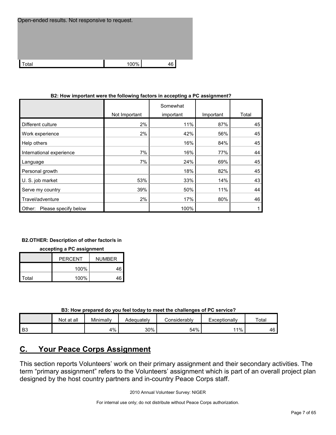| Open-ended results. Not responsive to request. |      |    |  |  |  |  |
|------------------------------------------------|------|----|--|--|--|--|
|                                                |      |    |  |  |  |  |
|                                                |      |    |  |  |  |  |
| cotal.                                         | 100% | 46 |  |  |  |  |

| DZ. HOW important were the following factors in accepting a FC assignment : |               |                       |           |       |  |  |  |
|-----------------------------------------------------------------------------|---------------|-----------------------|-----------|-------|--|--|--|
|                                                                             | Not Important | Somewhat<br>important | Important | Total |  |  |  |
| Different culture                                                           | 2%            | 11%                   | 87%       | 45    |  |  |  |
| Work experience                                                             | 2%            | 42%                   | 56%       | 45    |  |  |  |
| Help others                                                                 |               | 16%                   | 84%       | 45    |  |  |  |
| International experience                                                    | 7%            | 16%                   | 77%       | 44    |  |  |  |
| Language                                                                    | 7%            | 24%                   | 69%       | 45    |  |  |  |
| Personal growth                                                             |               | 18%                   | 82%       | 45    |  |  |  |
| U. S. job market                                                            | 53%           | 33%                   | 14%       | 43    |  |  |  |
| Serve my country                                                            | 39%           | 50%                   | 11%       | 44    |  |  |  |
| Travel/adventure                                                            | 2%            | 17%                   | 80%       | 46    |  |  |  |
| Please specify below<br>Other:                                              |               | 100%                  |           |       |  |  |  |

## **B2: How important were the following factors in accepting a PC assignment?**

#### **B2.OTHER: Description of other factor/s in**

#### **accepting a PC assignment**

|       | PFRCFNT | <b>NUMBER</b> |
|-------|---------|---------------|
|       | 100%    | 46            |
| Total | 100%    | 46            |

**B3: How prepared do you feel today to meet the challenges of PC service?**

|      | Not at all | Minimally | Adequatelv | Considerabl∨ | Exceptionally | Total |
|------|------------|-----------|------------|--------------|---------------|-------|
| l B3 |            | 4%        | 30%        | 54%          | 11%           | 46    |

# <span id="page-6-0"></span>**C. Your Peace Corps Assignment**

This section reports Volunteers' work on their primary assignment and their secondary activities. The term "primary assignment" refers to the Volunteers' assignment which is part of an overall project plan designed by the host country partners and in-country Peace Corps staff.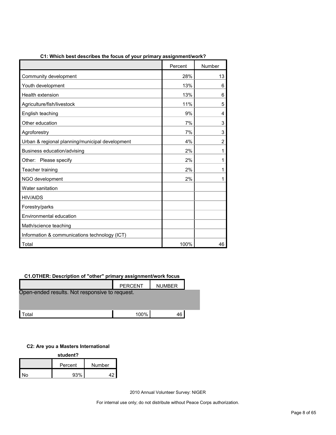|                                                 | Percent | Number         |
|-------------------------------------------------|---------|----------------|
| Community development                           | 28%     | 13             |
| Youth development                               | 13%     | 6              |
| Health extension                                | 13%     | 6              |
| Agriculture/fish/livestock                      | 11%     | 5              |
| English teaching                                | 9%      | 4              |
| Other education                                 | 7%      | 3              |
| Agroforestry                                    | 7%      | 3              |
| Urban & regional planning/municipal development | 4%      | $\overline{2}$ |
| Business education/advising                     | 2%      | 1              |
| Other:<br>Please specify                        | 2%      | 1              |
| Teacher training                                | 2%      | 1              |
| NGO development                                 | 2%      | 1              |
| Water sanitation                                |         |                |
| <b>HIV/AIDS</b>                                 |         |                |
| Forestry/parks                                  |         |                |
| Environmental education                         |         |                |
| Math/science teaching                           |         |                |
| Information & communications technology (ICT)   |         |                |
| Total                                           | 100%    | 46             |

# **C1: Which best describes the focus of your primary assignment/work?**

# **C1.OTHER: Description of "other" primary assignment/work focus**

|                                                | <b>PERCENT</b> | <b>NUMBER</b> |  |
|------------------------------------------------|----------------|---------------|--|
| Open-ended results. Not responsive to request. |                |               |  |
|                                                |                |               |  |
| <sup>-</sup> otal                              | 100%           | 46            |  |

#### **C2: Are you a Masters International**

| student? |         |        |  |  |
|----------|---------|--------|--|--|
|          | Percent | Number |  |  |
| N۵       | 93%     |        |  |  |

2010 Annual Volunteer Survey: NIGER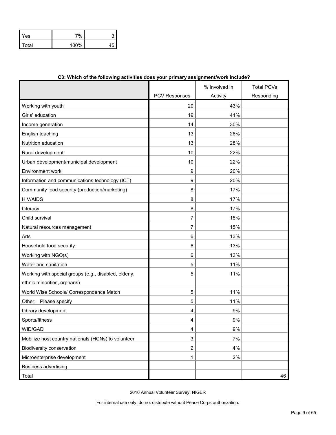| Yes   | 7%      |  |
|-------|---------|--|
| Total | $100\%$ |  |

|                                                       |                      | % Involved in | <b>Total PCVs</b> |
|-------------------------------------------------------|----------------------|---------------|-------------------|
|                                                       | <b>PCV Responses</b> | Activity      | Responding        |
| Working with youth                                    | 20                   | 43%           |                   |
| Girls' education                                      | 19                   | 41%           |                   |
| Income generation                                     | 14                   | 30%           |                   |
| English teaching                                      | 13                   | 28%           |                   |
| Nutrition education                                   | 13                   | 28%           |                   |
| Rural development                                     | 10                   | 22%           |                   |
| Urban development/municipal development               | 10                   | 22%           |                   |
| Environment work                                      | 9                    | 20%           |                   |
| Information and communications technology (ICT)       | 9                    | 20%           |                   |
| Community food security (production/marketing)        | 8                    | 17%           |                   |
| <b>HIV/AIDS</b>                                       | 8                    | 17%           |                   |
| Literacy                                              | 8                    | 17%           |                   |
| Child survival                                        | $\overline{7}$       | 15%           |                   |
| Natural resources management                          | 7                    | 15%           |                   |
| Arts                                                  | 6                    | 13%           |                   |
| Household food security                               | 6                    | 13%           |                   |
| Working with NGO(s)                                   | 6                    | 13%           |                   |
| Water and sanitation                                  | 5                    | 11%           |                   |
| Working with special groups (e.g., disabled, elderly, | 5                    | 11%           |                   |
| ethnic minorities, orphans)                           |                      |               |                   |
| World Wise Schools/ Correspondence Match              | 5                    | 11%           |                   |
| Other: Please specify                                 | 5                    | 11%           |                   |
| Library development                                   | 4                    | 9%            |                   |
| Sports/fitness                                        | 4                    | 9%            |                   |
| WID/GAD                                               | 4                    | 9%            |                   |
| Mobilize host country nationals (HCNs) to volunteer   | 3                    | 7%            |                   |
| Biodiversity conservation                             | $\overline{2}$       | 4%            |                   |
| Microenterprise development                           | $\mathbf 1$          | 2%            |                   |
| <b>Business advertising</b>                           |                      |               |                   |
| Total                                                 |                      |               | 46                |

# **C3: Which of the following activities does your primary assignment/work include?**

2010 Annual Volunteer Survey: NIGER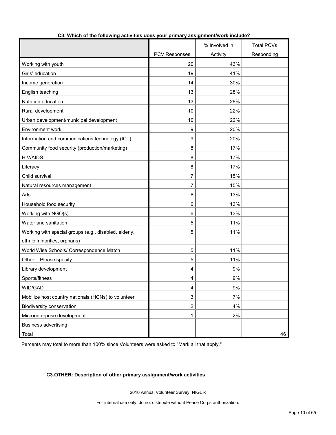|                                                       |                      | % Involved in | <b>Total PCVs</b> |
|-------------------------------------------------------|----------------------|---------------|-------------------|
|                                                       | <b>PCV Responses</b> | Activity      | Responding        |
| Working with youth                                    | 20                   | 43%           |                   |
| Girls' education                                      | 19                   | 41%           |                   |
| Income generation                                     | 14                   | 30%           |                   |
| English teaching                                      | 13                   | 28%           |                   |
| Nutrition education                                   | 13                   | 28%           |                   |
| Rural development                                     | 10                   | 22%           |                   |
| Urban development/municipal development               | 10                   | 22%           |                   |
| Environment work                                      | 9                    | 20%           |                   |
| Information and communications technology (ICT)       | 9                    | 20%           |                   |
| Community food security (production/marketing)        | 8                    | 17%           |                   |
| <b>HIV/AIDS</b>                                       | 8                    | 17%           |                   |
| Literacy                                              | 8                    | 17%           |                   |
| Child survival                                        | 7                    | 15%           |                   |
| Natural resources management                          | 7                    | 15%           |                   |
| Arts                                                  | 6                    | 13%           |                   |
| Household food security                               | 6                    | 13%           |                   |
| Working with NGO(s)                                   | 6                    | 13%           |                   |
| Water and sanitation                                  | 5                    | 11%           |                   |
| Working with special groups (e.g., disabled, elderly, | 5                    | 11%           |                   |
| ethnic minorities, orphans)                           |                      |               |                   |
| World Wise Schools/ Correspondence Match              | 5                    | 11%           |                   |
| Other: Please specify                                 | 5                    | 11%           |                   |
| Library development                                   | 4                    | 9%            |                   |
| Sports/fitness                                        | 4                    | 9%            |                   |
| WID/GAD                                               | 4                    | $9\%$         |                   |
| Mobilize host country nationals (HCNs) to volunteer   | 3                    | 7%            |                   |
| Biodiversity conservation                             | $\overline{c}$       | 4%            |                   |
| Microenterprise development                           | 1                    | 2%            |                   |
| Business advertising                                  |                      |               |                   |
| Total                                                 |                      |               | 46                |

# **C3: Which of the following activities does your primary assignment/work include?**

Percents may total to more than 100% since Volunteers were asked to "Mark all that apply."

# **C3.OTHER: Description of other primary assignment/work activities**

2010 Annual Volunteer Survey: NIGER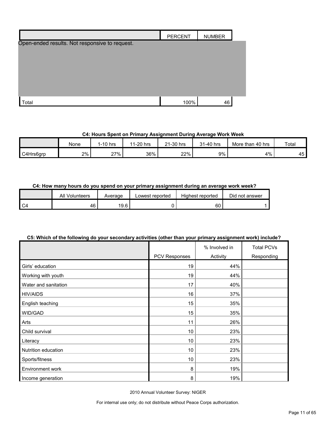|                                                | <b>PERCENT</b> | <b>NUMBER</b> |  |
|------------------------------------------------|----------------|---------------|--|
| Open-ended results. Not responsive to request. |                |               |  |
| Total                                          | 100%           | 46            |  |

# **C4: Hours Spent on Primary Assignment During Average Work Week**

|           | None | $1-10$ hrs | 11-20 hrs | 21-30 hrs | 31-40 hrs | More than 40 hrs | Total               |
|-----------|------|------------|-----------|-----------|-----------|------------------|---------------------|
| C4Hrs6grp | 2%   | 27%        | 36%       | 22%       | 9%        | 4%               | $-$<br>45 K<br>⊣ບ - |

# **C4: How many hours do you spend on your primary assignment during an average work week?**

| All<br>Volunteers | Average | Lowest reported | Highest reported | Did not answer |
|-------------------|---------|-----------------|------------------|----------------|
| 46                | 19.6    |                 | 60               |                |

# **C5: Which of the following do your secondary activities (other than your primary assignment work) include?**

|                      |               | % Involved in | <b>Total PCVs</b> |
|----------------------|---------------|---------------|-------------------|
|                      | PCV Responses | Activity      | Responding        |
| Girls' education     | 19            | 44%           |                   |
| Working with youth   | 19            | 44%           |                   |
| Water and sanitation | 17            | 40%           |                   |
| <b>HIV/AIDS</b>      | 16            | 37%           |                   |
| English teaching     | 15            | 35%           |                   |
| WID/GAD              | 15            | 35%           |                   |
| Arts                 | 11            | 26%           |                   |
| Child survival       | 10            | 23%           |                   |
| Literacy             | 10            | 23%           |                   |
| Nutrition education  | 10            | 23%           |                   |
| Sports/fitness       | 10            | 23%           |                   |
| Environment work     | 8             | 19%           |                   |
| Income generation    | 8             | 19%           |                   |

2010 Annual Volunteer Survey: NIGER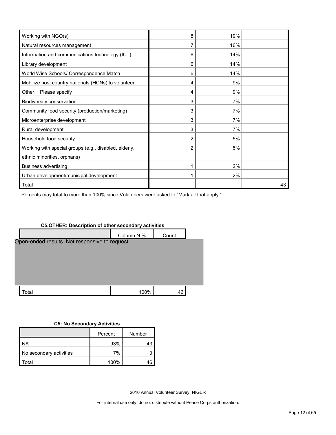| Working with NGO(s)                                   | 8 | 19% |    |
|-------------------------------------------------------|---|-----|----|
| Natural resources management                          |   | 16% |    |
| Information and communications technology (ICT)       | 6 | 14% |    |
| Library development                                   | 6 | 14% |    |
| World Wise Schools/ Correspondence Match              | 6 | 14% |    |
| Mobilize host country nationals (HCNs) to volunteer   | 4 | 9%  |    |
| Other: Please specify                                 | 4 | 9%  |    |
| Biodiversity conservation                             | 3 | 7%  |    |
| Community food security (production/marketing)        | 3 | 7%  |    |
| Microenterprise development                           | 3 | 7%  |    |
| Rural development                                     | 3 | 7%  |    |
| Household food security                               | 2 | 5%  |    |
| Working with special groups (e.g., disabled, elderly, | 2 | 5%  |    |
| ethnic minorities, orphans)                           |   |     |    |
| <b>Business advertising</b>                           |   | 2%  |    |
| Urban development/municipal development               |   | 2%  |    |
| Total                                                 |   |     | 43 |

Percents may total to more than 100% since Volunteers were asked to "Mark all that apply."

# **C5.OTHER: Description of other secondary activities**



# **C5: No Secondary Activities**

|                         | Percent | Number |
|-------------------------|---------|--------|
| NA.                     | 93%     |        |
| No secondary activities | 7%      |        |
| `otal                   | 100%    |        |

2010 Annual Volunteer Survey: NIGER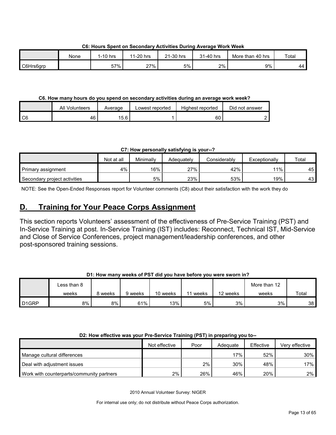None 1-10 hrs 11-20 hrs 21-30 hrs 31-40 hrs More than 40 hrs Total C6Hrs6grp 57% | 27% | 5% | 2% | 9% | 44

**C6: Hours Spent on Secondary Activities During Average Work Week**

# **C6. How many hours do you spend on secondary activities during an average work week?**

|                 | All Volunteers | Average | Lowest reported | Highest reported | Did not answer |
|-----------------|----------------|---------|-----------------|------------------|----------------|
| $\overline{C6}$ | 46             | 15.6    |                 | 60               |                |

**C7: How personally satisfying is your--?**

|                              | Not at all | Minimallv | Adeauatelv | Considerablv | Exceptionally | Total |
|------------------------------|------------|-----------|------------|--------------|---------------|-------|
| Primary assignment           | 4%         | 16%       | 27%        | 42%          | $11\%$        | 45    |
| Secondary project activities |            | 5%        | 23%        | 53%          | 19%           | 43    |

NOTE: See the Open-Ended Responses report for Volunteer comments (C8) about their satisfaction with the work they do

# <span id="page-12-0"></span>**D. Training for Your Peace Corps Assignment**

This section reports Volunteers' assessment of the effectiveness of Pre-Service Training (PST) and In-Service Training at post. In-Service Training (IST) includes: Reconnect, Technical IST, Mid-Service and Close of Service Conferences, project management/leadership conferences, and other post-sponsored training sessions.

# **D1: How many weeks of PST did you have before you were sworn in?**

|                    | Less than 8 |         |         |          |       |          | More than 12 |                 |
|--------------------|-------------|---------|---------|----------|-------|----------|--------------|-----------------|
|                    | weeks       | 8 weeks | 9 weeks | 10 weeks | weeks | 12 weeks | weeks        | Total           |
| D <sub>1</sub> GRP | 8%          | 8%      | 61%     | $13\%$   | 5%    | 3%       | 3%           | 38 <sup>1</sup> |

# **D2: How effective was your Pre-Service Training (PST) in preparing you to--**

|                                           | Not effective | Poor | Adequate | Effective | Very effective |
|-------------------------------------------|---------------|------|----------|-----------|----------------|
| Manage cultural differences               |               |      | 17% i    | 52%       | $30\%$         |
| Deal with adjustment issues               |               | 2%   | 30%      | 48%       | 17% l          |
| Work with counterparts/community partners | 2%            | 26%  | 46%      | 20%       | $2\%$ l        |

2010 Annual Volunteer Survey: NIGER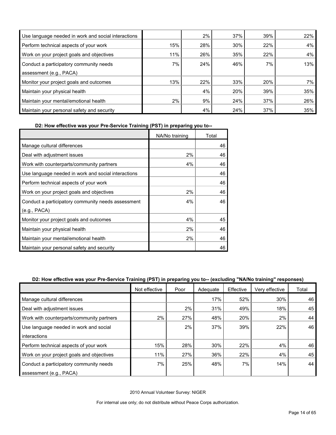| Use language needed in work and social interactions |     | 2%  | 37% | 39% | 22%   |
|-----------------------------------------------------|-----|-----|-----|-----|-------|
| Perform technical aspects of your work              | 15% | 28% | 30% | 22% | 4%    |
| Work on your project goals and objectives           | 11% | 26% | 35% | 22% | 4%    |
| Conduct a participatory community needs             | 7%  | 24% | 46% | 7%  | 13%   |
| assessment (e.g., PACA)                             |     |     |     |     |       |
| Monitor your project goals and outcomes             | 13% | 22% | 33% | 20% | $7\%$ |
| Maintain your physical health                       |     | 4%  | 20% | 39% | 35%   |
| Maintain your mental/emotional health               | 2%  | 9%  | 24% | 37% | 26%   |
| Maintain your personal safety and security          |     | 4%  | 24% | 37% | 35%   |

**D2: How effective was your Pre-Service Training (PST) in preparing you to--**

|                                                     | NA/No training | Total |
|-----------------------------------------------------|----------------|-------|
| Manage cultural differences                         |                | 46    |
| Deal with adjustment issues                         | 2%             | 46    |
| Work with counterparts/community partners           | 4%             | 46    |
| Use language needed in work and social interactions |                | 46    |
| Perform technical aspects of your work              |                | 46    |
| Work on your project goals and objectives           | 2%             | 46    |
| Conduct a participatory community needs assessment  | 4%             | 46    |
| (e.g., PACA)                                        |                |       |
| Monitor your project goals and outcomes             | 4%             | 45    |
| Maintain your physical health                       | 2%             | 46    |
| Maintain your mental/emotional health               | 2%             | 46    |
| Maintain your personal safety and security          |                | 46    |

# **D2: How effective was your Pre-Service Training (PST) in preparing you to-- (excluding "NA/No training" responses)**

|                                           | Not effective | Poor | Adequate | Effective | Very effective | Total |
|-------------------------------------------|---------------|------|----------|-----------|----------------|-------|
| Manage cultural differences               |               |      | 17%      | 52%       | 30%            | 46    |
| Deal with adjustment issues               |               | 2%   | 31%      | 49%       | 18%            | 45    |
| Work with counterparts/community partners | 2%            | 27%  | 48%      | 20%       | 2%             | 44    |
| Use language needed in work and social    |               | 2%   | 37%      | 39%       | 22%            | 46    |
| interactions                              |               |      |          |           |                |       |
| Perform technical aspects of your work    | 15%           | 28%  | 30%      | 22%       | 4%             | 46    |
| Work on your project goals and objectives | 11%           | 27%  | 36%      | 22%       | 4%             | 45    |
| Conduct a participatory community needs   | 7%            | 25%  | 48%      | 7%        | 14%            | 44    |
| assessment (e.g., PACA)                   |               |      |          |           |                |       |

2010 Annual Volunteer Survey: NIGER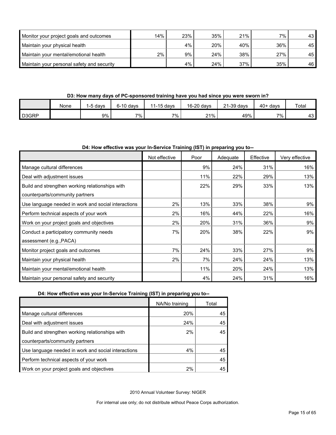| Monitor your project goals and outcomes    | 14% | 23%   | 35% | 21% | $7\%$ . | 43 |
|--------------------------------------------|-----|-------|-----|-----|---------|----|
| Maintain your physical health              |     | $4\%$ | 20% | 40% | 36%     | 45 |
| Maintain your mental/emotional health      | 2%  | 9%    | 24% | 38% | 27%     | 45 |
| Maintain your personal safety and security |     | 4%    | 24% | 37% | 35%     | 46 |

## **D3: How many days of PC-sponsored training have you had since you were sworn in?**

|                    | None | davs | $6-10$ days | 11-15 days | 16-20 days | 21-39 days | $40+$ days | Total      |
|--------------------|------|------|-------------|------------|------------|------------|------------|------------|
| D <sub>3</sub> GRP |      | 9%   | 7%.         | 7%         | $21\%$     | 49%        | 7%         | 12<br>ا ن+ |

## **D4: How effective was your In-Service Training (IST) in preparing you to--**

|                                                     | Not effective | Poor | Adequate | Effective | Very effective |
|-----------------------------------------------------|---------------|------|----------|-----------|----------------|
| Manage cultural differences                         |               | 9%   | 24%      | 31%       | 16%            |
| Deal with adjustment issues                         |               | 11%  | 22%      | 29%       | 13%            |
| Build and strengthen working relationships with     |               | 22%  | 29%      | 33%       | 13%            |
| counterparts/community partners                     |               |      |          |           |                |
| Use language needed in work and social interactions | 2%            | 13%  | 33%      | 38%       | 9%             |
| Perform technical aspects of your work              | 2%            | 16%  | 44%      | 22%       | 16%            |
| Work on your project goals and objectives           | 2%            | 20%  | 31%      | 36%       | 9%             |
| Conduct a participatory community needs             | 7%            | 20%  | 38%      | 22%       | 9%             |
| assessment (e.g., PACA)                             |               |      |          |           |                |
| Monitor project goals and outcomes                  | 7%            | 24%  | 33%      | 27%       | 9%             |
| Maintain your physical health                       | 2%            | 7%   | 24%      | 24%       | 13%            |
| Maintain your mental/emotional health               |               | 11%  | 20%      | 24%       | 13%            |
| Maintain your personal safety and security          |               | 4%   | 24%      | 31%       | 16%            |

# **D4: How effective was your In-Service Training (IST) in preparing you to--**

|                                                     | NA/No training | Total |
|-----------------------------------------------------|----------------|-------|
| Manage cultural differences                         | 20%            | 45    |
| Deal with adjustment issues                         | 24%            | 45    |
| Build and strengthen working relationships with     | 2%             | 45    |
| counterparts/community partners                     |                |       |
| Use language needed in work and social interactions | 4%             | 45    |
| Perform technical aspects of your work              |                | 45    |
| Work on your project goals and objectives           | 2%             | 45    |

2010 Annual Volunteer Survey: NIGER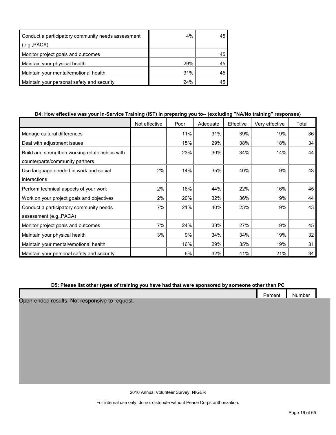| Conduct a participatory community needs assessment | $4\%$ | 45 |
|----------------------------------------------------|-------|----|
| (e.g., PACA)                                       |       |    |
| Monitor project goals and outcomes                 |       | 45 |
| Maintain your physical health                      | 29%   | 45 |
| Maintain your mental/emotional health              | 31%   | 45 |
| Maintain your personal safety and security         | 24%   |    |

# **D4: How effective was your In-Service Training (IST) in preparing you to-- (excluding "NA/No training" responses)**

|                                                 | Not effective | Poor | Adequate | Effective | Very effective | Total |
|-------------------------------------------------|---------------|------|----------|-----------|----------------|-------|
| Manage cultural differences                     |               | 11%  | 31%      | 39%       | 19%            | 36    |
| Deal with adjustment issues                     |               | 15%  | 29%      | 38%       | 18%            | 34    |
| Build and strengthen working relationships with |               | 23%  | 30%      | 34%       | 14%            | 44    |
| counterparts/community partners                 |               |      |          |           |                |       |
| Use language needed in work and social          | 2%            | 14%  | 35%      | 40%       | 9%             | 43    |
| interactions                                    |               |      |          |           |                |       |
| Perform technical aspects of your work          | 2%            | 16%  | 44%      | 22%       | 16%            | 45    |
| Work on your project goals and objectives       | 2%            | 20%  | 32%      | 36%       | 9%             | 44    |
| Conduct a participatory community needs         | 7%            | 21%  | 40%      | 23%       | 9%             | 43    |
| assessment (e.g., PACA)                         |               |      |          |           |                |       |
| Monitor project goals and outcomes              | 7%            | 24%  | 33%      | 27%       | 9%             | 45    |
| Maintain your physical health                   | 3%            | 9%   | 34%      | 34%       | 19%            | 32    |
| Maintain your mental/emotional health           |               | 16%  | 29%      | 35%       | 19%            | 31    |
| Maintain your personal safety and security      |               | 6%   | 32%      | 41%       | 21%            | 34    |

# **D5: Please list other types of training you have had that were sponsored by someone other than PC**

|  | Percent | Number |
|--|---------|--------|
|  |         |        |

Open-ended results. Not responsive to request.

2010 Annual Volunteer Survey: NIGER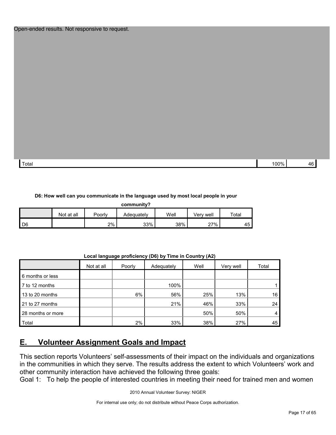#### Open-ended results. Not responsive to request.

| Total | 100%<br>$\sim$ $\sim$ $\prime$ | 1 G |
|-------|--------------------------------|-----|

#### **D6: How well can you communicate in the language used by most local people in your**

|  | community? |
|--|------------|

|      | Not at all | Poorly | Adequately | Well | Verv well | Total |
|------|------------|--------|------------|------|-----------|-------|
| I D6 |            | 2%     | 33%        | 38%  | 27%       | 45    |

|                   | Not at all | Poorly | Adequately | Well | Very well | Total |
|-------------------|------------|--------|------------|------|-----------|-------|
| 6 months or less  |            |        |            |      |           |       |
| 7 to 12 months    |            |        | 100%       |      |           |       |
| 13 to 20 months   |            | 6%     | 56%        | 25%  | 13%       | 16    |
| 21 to 27 months   |            |        | 21%        | 46%  | 33%       | 24    |
| 28 months or more |            |        |            | 50%  | 50%       | 4     |
| Total             |            | 2%     | 33%        | 38%  | 27%       | 45    |

#### **Local language proficiency (D6) by Time in Country (A2)**

# <span id="page-16-0"></span>**E. Volunteer Assignment Goals and Impact**

This section reports Volunteers' self-assessments of their impact on the individuals and organizations in the communities in which they serve. The results address the extent to which Volunteers' work and other community interaction have achieved the following three goals:

Goal 1: To help the people of interested countries in meeting their need for trained men and women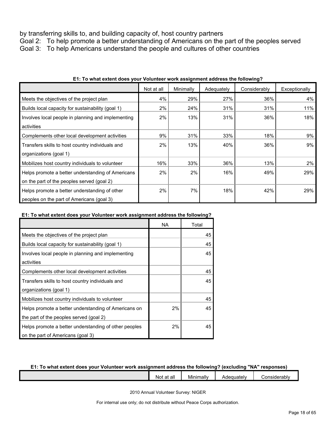by transferring skills to, and building capacity of, host country partners

Goal 2: To help promote a better understanding of Americans on the part of the peoples served Goal 3: To help Americans understand the people and cultures of other countries

|                                                    | Not at all | Minimally | Adequately | Considerably | Exceptionally |
|----------------------------------------------------|------------|-----------|------------|--------------|---------------|
| Meets the objectives of the project plan           | 4%         | 29%       | 27%        | 36%          | 4%            |
| Builds local capacity for sustainability (goal 1)  | 2%         | 24%       | 31%        | 31%          | 11%           |
| Involves local people in planning and implementing | 2%         | 13%       | 31%        | 36%          | 18%           |
| activities                                         |            |           |            |              |               |
| Complements other local development activities     | 9%         | 31%       | 33%        | 18%          | 9%            |
| Transfers skills to host country individuals and   | 2%         | 13%       | 40%        | 36%          | 9%            |
| organizations (goal 1)                             |            |           |            |              |               |
| Mobilizes host country individuals to volunteer    | 16%        | 33%       | 36%        | 13%          | 2%            |
| Helps promote a better understanding of Americans  | 2%         | 2%        | 16%        | 49%          | 29%           |
| on the part of the peoples served (goal 2)         |            |           |            |              |               |
| Helps promote a better understanding of other      | 2%         | 7%        | 18%        | 42%          | 29%           |
| peoples on the part of Americans (goal 3)          |            |           |            |              |               |

## **E1: To what extent does your Volunteer work assignment address the following?**

# **E1: To what extent does your Volunteer work assignment address the following?**

|                                                       | NA | Total |
|-------------------------------------------------------|----|-------|
| Meets the objectives of the project plan              |    | 45    |
| Builds local capacity for sustainability (goal 1)     |    | 45    |
| Involves local people in planning and implementing    |    | 45    |
| activities                                            |    |       |
| Complements other local development activities        |    | 45    |
| Transfers skills to host country individuals and      |    | 45    |
| organizations (goal 1)                                |    |       |
| Mobilizes host country individuals to volunteer       |    | 45    |
| Helps promote a better understanding of Americans on  | 2% | 45    |
| the part of the peoples served (goal 2)               |    |       |
| Helps promote a better understanding of other peoples | 2% | 45    |
| on the part of Americans (goal 3)                     |    |       |

#### **E1: To what extent does your Volunteer work assignment address the following? (excluding "NA" responses)**

| $\cdot$ .<br>all<br>aı<br>Not. | <br>. .<br>Minimally | muatelv | .<br>'erahly<br>- 11<br>اد ار |
|--------------------------------|----------------------|---------|-------------------------------|
|                                |                      |         |                               |

2010 Annual Volunteer Survey: NIGER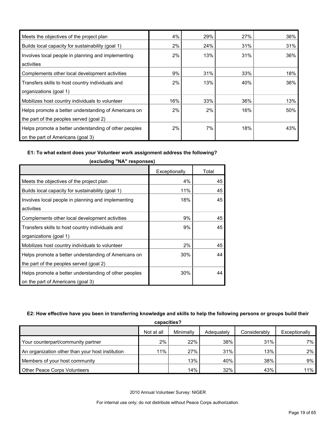| Meets the objectives of the project plan              | 4%  | 29% | 27% | 36% |
|-------------------------------------------------------|-----|-----|-----|-----|
| Builds local capacity for sustainability (goal 1)     | 2%  | 24% | 31% | 31% |
| Involves local people in planning and implementing    | 2%  | 13% | 31% | 36% |
| activities                                            |     |     |     |     |
| Complements other local development activities        | 9%  | 31% | 33% | 18% |
| Transfers skills to host country individuals and      | 2%  | 13% | 40% | 36% |
| organizations (goal 1)                                |     |     |     |     |
| Mobilizes host country individuals to volunteer       | 16% | 33% | 36% | 13% |
| Helps promote a better understanding of Americans on  | 2%  | 2%  | 16% | 50% |
| the part of the peoples served (goal 2)               |     |     |     |     |
| Helps promote a better understanding of other peoples | 2%  | 7%  | 18% | 43% |
| on the part of Americans (goal 3)                     |     |     |     |     |

í.

# **E1: To what extent does your Volunteer work assignment address the following?**

|                                                       | Exceptionally | Total |
|-------------------------------------------------------|---------------|-------|
| Meets the objectives of the project plan              | 4%            | 45    |
| Builds local capacity for sustainability (goal 1)     | 11%           | 45    |
| Involves local people in planning and implementing    | 18%           | 45    |
| activities                                            |               |       |
| Complements other local development activities        | 9%            | 45    |
| Transfers skills to host country individuals and      | 9%            | 45    |
| organizations (goal 1)                                |               |       |
| Mobilizes host country individuals to volunteer       | 2%            | 45    |
| Helps promote a better understanding of Americans on  | 30%           | 44    |
| the part of the peoples served (goal 2)               |               |       |
| Helps promote a better understanding of other peoples | 30%           | 44    |
| on the part of Americans (goal 3)                     |               |       |

**(excluding "NA" responses)**

# **E2: How effective have you been in transferring knowledge and skills to help the following persons or groups build their**

| capacities?                                      |            |           |            |              |               |
|--------------------------------------------------|------------|-----------|------------|--------------|---------------|
|                                                  | Not at all | Minimally | Adequately | Considerably | Exceptionally |
| Your counterpart/community partner               | 2%         | 22%       | 38%        | 31%          | 7% l          |
| An organization other than your host institution | 11%        | 27%       | 31%        | 13%          | $2\%$         |
| Members of your host community                   |            | 13%       | 40%        | 38%          | $9\%$         |
| Other Peace Corps Volunteers                     |            | 14%       | 32%        | 43%          | $11\%$        |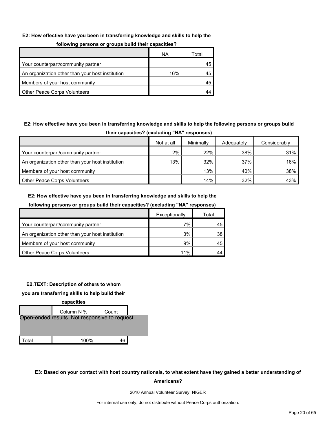#### **E2: How effective have you been in transferring knowledge and skills to help the**

| following persons or groups build their capacities? |
|-----------------------------------------------------|
|-----------------------------------------------------|

|                                                  | ΝA  | Total |
|--------------------------------------------------|-----|-------|
| Your counterpart/community partner               |     |       |
| An organization other than your host institution | 16% |       |
| Members of your host community                   |     |       |
| <b>Other Peace Corps Volunteers</b>              |     |       |

# **E2: How effective have you been in transferring knowledge and skills to help the following persons or groups build**

| their capacities? (excluding "NA" responses)     |            |           |            |              |  |  |
|--------------------------------------------------|------------|-----------|------------|--------------|--|--|
|                                                  | Not at all | Minimally | Adequately | Considerably |  |  |
| Your counterpart/community partner               | 2%         | 22%       | 38%        | 31%          |  |  |
| An organization other than your host institution | 13%        | 32%       | 37%        | 16%          |  |  |
| Members of your host community                   |            | 13%       | 40%        | 38%          |  |  |
| <b>Other Peace Corps Volunteers</b>              |            | 14%       | 32%        | 43%          |  |  |

#### **E2: How effective have you been in transferring knowledge and skills to help the**

|                                                  | Exceptionally | Total |
|--------------------------------------------------|---------------|-------|
| Your counterpart/community partner               | 7%            | 45    |
| An organization other than your host institution | 3%            | 38    |
| Members of your host community                   | 9%            | 45    |
| <b>Other Peace Corps Volunteers</b>              | 11%           |       |

# **following persons or groups build their capacities? (excluding "NA" responses)**

#### **E2.TEXT: Description of others to whom**

**you are transferring skills to help build their** 



# **E3: Based on your contact with host country nationals, to what extent have they gained a better understanding of Americans?**

2010 Annual Volunteer Survey: NIGER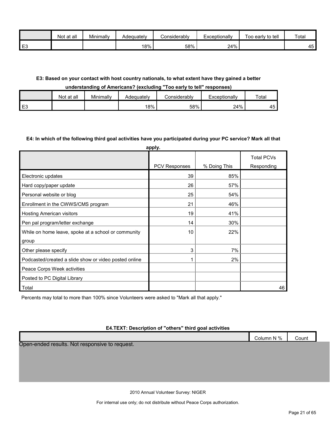|                | Not at all | Minimally | Adequately | <b>Considerably</b> | Exceptionally | Too early to tell | Total           |
|----------------|------------|-----------|------------|---------------------|---------------|-------------------|-----------------|
| E <sub>3</sub> |            |           | 18%        | 58%                 | 24%           |                   | 45 <sub>h</sub> |

# **E3: Based on your contact with host country nationals, to what extent have they gained a better**

#### **understanding of Americans? (excluding "Too early to tell" responses)**

|                | Not at all | Minimally | Adequately | Considerabl∨ | Exceptionally | Total    |
|----------------|------------|-----------|------------|--------------|---------------|----------|
| E <sub>3</sub> |            |           | 18%        | 58%          | 24%           | 45<br>≁ບ |

#### **E4: In which of the following third goal activities have you participated during your PC service? Mark all that**

|                                                       | apply.               |              |                                 |
|-------------------------------------------------------|----------------------|--------------|---------------------------------|
|                                                       | <b>PCV Responses</b> | % Doing This | <b>Total PCVs</b><br>Responding |
|                                                       |                      |              |                                 |
| Electronic updates                                    | 39                   | 85%          |                                 |
| Hard copy/paper update                                | 26                   | 57%          |                                 |
| Personal website or blog                              | 25                   | 54%          |                                 |
| Enrollment in the CWWS/CMS program                    | 21                   | 46%          |                                 |
| <b>Hosting American visitors</b>                      | 19                   | 41%          |                                 |
| Pen pal program/letter exchange                       | 14                   | 30%          |                                 |
| While on home leave, spoke at a school or community   | 10                   | 22%          |                                 |
| group                                                 |                      |              |                                 |
| Other please specify                                  | 3                    | 7%           |                                 |
| Podcasted/created a slide show or video posted online |                      | 2%           |                                 |
| Peace Corps Week activities                           |                      |              |                                 |
| Posted to PC Digital Library                          |                      |              |                                 |
| Total                                                 |                      |              | 46                              |

Percents may total to more than 100% since Volunteers were asked to "Mark all that apply."

# **E4.TEXT: Description of "others" third goal activities**

|                                                     | Column N % | Count |
|-----------------------------------------------------|------------|-------|
| l results. Not responsive to request.<br>Open-ended |            |       |

2010 Annual Volunteer Survey: NIGER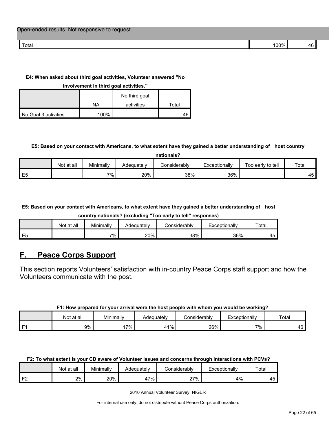| Total | $\n  0$ |  |
|-------|---------|--|

# **E4: When asked about third goal activities, Volunteer answered "No**

**involvement in third goal activities."** 

|                      |      | No third goal |       |
|----------------------|------|---------------|-------|
|                      | ΝA   | activities    | Total |
| No Goal 3 activities | 100% |               |       |

# **E5: Based on your contact with Americans, to what extent have they gained a better understanding of host country**

| nationals |  |
|-----------|--|
|           |  |
|           |  |

|    | at all<br>Not | Minimally | Adequatelv | Considerablv | Exceptionally | Too early to tell | Total       |
|----|---------------|-----------|------------|--------------|---------------|-------------------|-------------|
| E5 |               | 7% .      | 20%        | 38%          | 36%           |                   | 1 E 1<br>┱┙ |

**E5: Based on your contact with Americans, to what extent have they gained a better understanding of host** 

**country nationals? (excluding "Too early to tell" responses)**

|    | Not at all | Minimally | Adequately | Considerabl∨ | Exceptionally | Total   |
|----|------------|-----------|------------|--------------|---------------|---------|
| E5 |            | 7%        | 20%        | 38%          | 36%           | -<br>᠇֊ |

# <span id="page-21-0"></span>**F. Peace Corps Support**

This section reports Volunteers' satisfaction with in-country Peace Corps staff support and how the Volunteers communicate with the post.

# **F1: How prepared for your arrival were the host people with whom you would be working?**

|      | ∶at all<br>Not | Minimally | Adequatelv | Considerably | Exceptionally | Total   |
|------|----------------|-----------|------------|--------------|---------------|---------|
| l F1 | 9%             | $7\%$     | $1\%$      | 26%          | 7%.           | 4F<br>_ |

#### **F2: To what extent is your CD aware of Volunteer issues and concerns through interactions with PCVs?**

|          | Not at all | Minimally | Adequatelv  | <i>C</i> onsiderabl∨ | Exceptionally | Total |
|----------|------------|-----------|-------------|----------------------|---------------|-------|
| $\Gamma$ | 2%         | 20%       | $7\%$<br>41 | 27%                  | 4%            | 45    |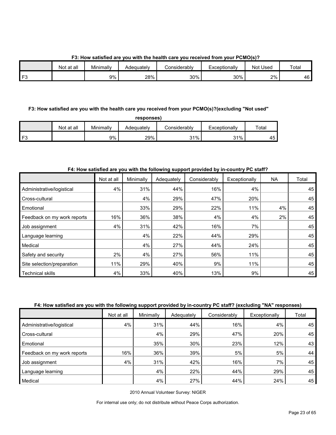**F3: How satisfied are you with the health care you received from your PCMO(s)?**

|              | Not at all | Minimally | Adequately | شionsiderably | Exceptionally | Used<br>Not | Total |
|--------------|------------|-----------|------------|---------------|---------------|-------------|-------|
| $\mathbf{r}$ |            | 9%        | 28%        | 30%           | 30%           | 2%          | 46    |

# **F3: How satisfied are you with the health care you received from your PCMO(s)?(excluding "Not used"**

| oonse<br>s |
|------------|
|------------|

|                | Not at all | Minimally | Adequatelv | <i>C</i> onsiderabl∨ | Exceptionally | Totai    |
|----------------|------------|-----------|------------|----------------------|---------------|----------|
| F <sub>3</sub> |            | 9%        | 29%        | 31%                  | 31%           | 4F<br>᠇◡ |

# **F4: How satisfied are you with the following support provided by in-country PC staff?**

|                             | Not at all | Minimally | Adequately | Considerably | Exceptionally | NA | Total |
|-----------------------------|------------|-----------|------------|--------------|---------------|----|-------|
| Administrative/logistical   | 4%         | 31%       | 44%        | 16%          | 4%            |    | 45    |
| Cross-cultural              |            | 4%        | 29%        | 47%          | 20%           |    | 45    |
| Emotional                   |            | 33%       | 29%        | 22%          | 11%           | 4% | 45    |
| Feedback on my work reports | 16%        | 36%       | 38%        | 4%           | 4%            | 2% | 45    |
| Job assignment              | 4%         | 31%       | 42%        | 16%          | 7%            |    | 45    |
| Language learning           |            | 4%        | 22%        | 44%          | 29%           |    | 45    |
| Medical                     |            | 4%        | 27%        | 44%          | 24%           |    | 45    |
| Safety and security         | 2%         | 4%        | 27%        | 56%          | 11%           |    | 45    |
| Site selection/preparation  | 11%        | 29%       | 40%        | 9%           | 11%           |    | 45    |
| <b>Technical skills</b>     | 4%         | 33%       | 40%        | 13%          | 9%            |    | 45    |

# **F4: How satisfied are you with the following support provided by in-country PC staff? (excluding "NA" responses)**

|                             | Not at all | Minimally | Adequately | Considerably | Exceptionally | Total |
|-----------------------------|------------|-----------|------------|--------------|---------------|-------|
| Administrative/logistical   | 4%         | 31%       | 44%        | 16%          | 4%            | 45    |
| Cross-cultural              |            | 4%        | 29%        | 47%          | 20%           | 45    |
| Emotional                   |            | 35%       | 30%        | 23%          | 12%           | 43    |
| Feedback on my work reports | 16%        | 36%       | 39%        | 5%           | 5%            | 44    |
| Job assignment              | 4%         | 31%       | 42%        | 16%          | 7%            | 45    |
| Language learning           |            | 4%        | 22%        | 44%          | 29%           | 45    |
| Medical                     |            | 4%        | 27%        | 44%          | 24%           | 45    |

2010 Annual Volunteer Survey: NIGER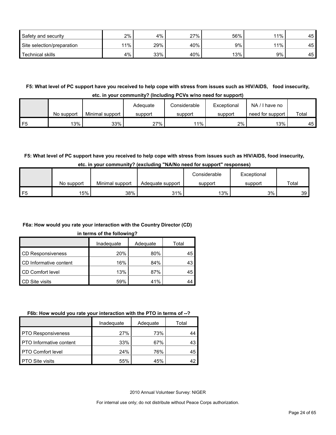| Safety and security        | 2%  | 4%  | 27% | 56% | 11% | 45 |
|----------------------------|-----|-----|-----|-----|-----|----|
| Site selection/preparation | 11% | 29% | 40% | 9%  | 11% | 45 |
| <b>Technical skills</b>    | 4%  | 33% | 40% | 13% | 9%  | 45 |

**F5: What level of PC support have you received to help cope with stress from issues such as HIV/AIDS, food insecurity, etc. in your community? (Including PCVs w/no need for support)**

|    | No support | Minimal support | Adequate<br>support | Considerable<br>support | Exceptional<br>support | NA.<br>have no<br>need for support | Total |
|----|------------|-----------------|---------------------|-------------------------|------------------------|------------------------------------|-------|
| F5 | 13%        | 33%             | 27%                 | 11%                     | 2%                     | 13%                                | 45    |

# **F5: What level of PC support have you received to help cope with stress from issues such as HIV/AIDS, food insecurity,**

|  | etc. in your community? (excluding "NA/No need for support" responses) |  |  |  |  |  |  |  |  |
|--|------------------------------------------------------------------------|--|--|--|--|--|--|--|--|
|--|------------------------------------------------------------------------|--|--|--|--|--|--|--|--|

|    |            |                 |                  | Considerable<br>Exceptional |         |       |
|----|------------|-----------------|------------------|-----------------------------|---------|-------|
|    | No support | Minimal support | Adequate support | support                     | support | Total |
| F5 | 15%        | 38%             | 31%              | 13%                         | 3%      | 39 I  |

# **F6a: How would you rate your interaction with the Country Director (CD)**

#### **in terms of the following?**

|                          | Inadequate | Adequate | Total |
|--------------------------|------------|----------|-------|
| <b>CD Responsiveness</b> | 20%        | 80%      | 45    |
| CD Informative content   | 16%        | 84%      | 43    |
| CD Comfort level         | 13%        | 87%      | 45    |
| <b>CD Site visits</b>    | 59%        | 41%      | 44    |

# **F6b: How would you rate your interaction with the PTO in terms of --?**

|                                | Inadequate | Adequate | Total |
|--------------------------------|------------|----------|-------|
| <b>PTO Responsiveness</b>      | 27%        | 73%      |       |
| <b>PTO</b> Informative content | 33%        | 67%      | 43    |
| <b>PTO Comfort level</b>       | 24%        | 76%      | 45    |
| <b>PTO Site visits</b>         | 55%        | 45%      |       |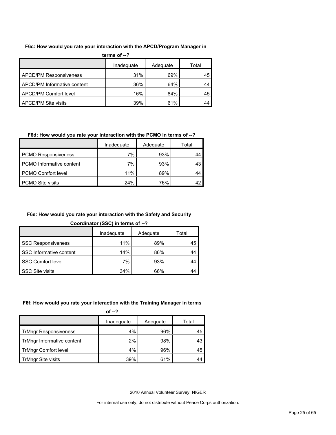#### **F6c: How would you rate your interaction with the APCD/Program Manager in**

| terms of $-2$                 |            |          |       |  |  |  |  |
|-------------------------------|------------|----------|-------|--|--|--|--|
|                               | Inadequate | Adequate | Total |  |  |  |  |
| <b>APCD/PM Responsiveness</b> | 31%        | 69%      | 45    |  |  |  |  |
| APCD/PM Informative content   | 36%        | 64%      | 44    |  |  |  |  |
| APCD/PM Comfort level         | 16%        | 84%      | 45    |  |  |  |  |
| APCD/PM Site visits           | 39%        | 61%      | 44    |  |  |  |  |

# **F6d: How would you rate your interaction with the PCMO in terms of --?**

|                                 | Inadeguate | Adequate | Total |
|---------------------------------|------------|----------|-------|
| <b>PCMO Responsiveness</b>      | 7%         | 93%      | 44    |
| <b>PCMO</b> Informative content | 7%         | 93%      | 43    |
| <b>PCMO Comfort level</b>       | 11%        | 89%      | 44    |
| <b>PCMO Site visits</b>         | 24%        | 76%      | 47    |

# **F6e: How would you rate your interaction with the Safety and Security**

**Coordinator (SSC) in terms of --?**

|                           | Inadequate | Adequate | Total |
|---------------------------|------------|----------|-------|
| <b>SSC Responsiveness</b> | 11%        | 89%      | 45    |
| SSC Informative content   | 14%        | 86%      | 44    |
| SSC Comfort level         | 7%         | 93%      | 44    |
| <b>SSC Site visits</b>    | 34%        | 66%      | 44    |

# **F6f: How would you rate your interaction with the Training Manager in terms**

|                              | of $-2$    |          |       |
|------------------------------|------------|----------|-------|
|                              | Inadequate | Adequate | Total |
| <b>TrMngr Responsiveness</b> | 4%         | 96%      | 45    |
| TrMngr Informative content   | 2%         | 98%      | 43    |
| <b>TrMngr Comfort level</b>  | 4%         | 96%      | 45    |
| <b>TrMngr Site visits</b>    | 39%        | 61%      | 44    |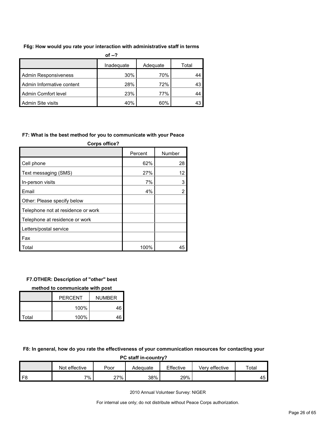#### **F6g: How would you rate your interaction with administrative staff in terms**

|                             | of $-?$    |          |       |
|-----------------------------|------------|----------|-------|
|                             | Inadequate | Adequate | Total |
| <b>Admin Responsiveness</b> | 30%        | 70%      | 44    |
| Admin Informative content   | 28%        | 72%      | 43    |
| Admin Comfort level         | 23%        | 77%      | 44    |
| Admin Site visits           | 40%        | 60%      | 43    |

#### **F7: What is the best method for you to communicate with your Peace**

| <b>Corps office?</b>               |         |                |  |  |  |  |
|------------------------------------|---------|----------------|--|--|--|--|
|                                    | Percent | Number         |  |  |  |  |
| Cell phone                         | 62%     | 28             |  |  |  |  |
| Text messaging (SMS)               | 27%     | 12             |  |  |  |  |
| In-person visits                   | 7%      | 3              |  |  |  |  |
| Email                              | 4%      | $\overline{2}$ |  |  |  |  |
| Other: Please specify below        |         |                |  |  |  |  |
| Telephone not at residence or work |         |                |  |  |  |  |
| Telephone at residence or work     |         |                |  |  |  |  |
| Letters/postal service             |         |                |  |  |  |  |
| Fax                                |         |                |  |  |  |  |
| Total                              | 100%    | 45             |  |  |  |  |

#### **F7.OTHER: Description of "other" best**

**method to communicate with post**

|       | <b>PERCENT</b> | <b>NUMBER</b> |
|-------|----------------|---------------|
|       | 100%           | 46            |
| Total | 100%           | 46            |

**F8: In general, how do you rate the effectiveness of your communication resources for contacting your** 

| PC staff in-country? |               |      |          |           |                |             |  |
|----------------------|---------------|------|----------|-----------|----------------|-------------|--|
|                      | Not effective | Poor | Adeauate | Effective | Very effective | $\tau$ otal |  |
| F8                   | 7%            | 27%  | 38%      | 29%       |                | 45          |  |

2010 Annual Volunteer Survey: NIGER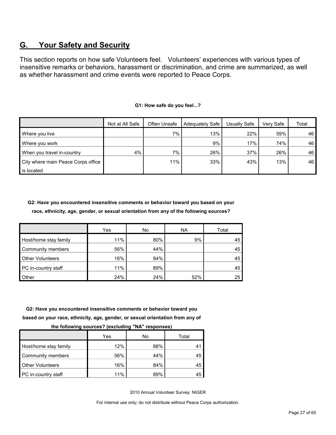# <span id="page-26-0"></span>**G. Your Safety and Security**

This section reports on how safe Volunteers feel. Volunteers' experiences with various types of insensitive remarks or behaviors, harassment or discrimination, and crime are summarized, as well as whether harassment and crime events were reported to Peace Corps.

|                                    | Not at All Safe | Often Unsafe | Adequately Safe | Usually Safe | Verv Safe | Total |
|------------------------------------|-----------------|--------------|-----------------|--------------|-----------|-------|
| Where you live                     |                 | 7%           | 13%             | 22%          | 59%       | 46    |
| Where you work                     |                 |              | 9%              | 17%          | 74%       | 46    |
| When you travel in-country         | 4%              | 7%           | 26%             | 37%          | 26%       | 46    |
| City where main Peace Corps office |                 | 11%          | 33%             | 43%          | 13%       | 46    |
| is located                         |                 |              |                 |              |           |       |

#### **G1: How safe do you feel...?**

**G2: Have you encountered insensitive comments or behavior toward you based on your race, ethnicity, age, gender, or sexual orientation from any of the following sources?**

|                         | Yes | No  | <b>NA</b> | Total |
|-------------------------|-----|-----|-----------|-------|
| Host/home stay family   | 11% | 80% | 9%        | 45    |
| Community members       | 56% | 44% |           | 45    |
| <b>Other Volunteers</b> | 16% | 84% |           | 45    |
| PC in-country staff     | 11% | 89% |           | 45    |
| Other                   | 24% | 24% | 52%       | 25    |

**G2: Have you encountered insensitive comments or behavior toward you based on your race, ethnicity, age, gender, or sexual orientation from any of** 

| - -                     |     |     |       |
|-------------------------|-----|-----|-------|
|                         | Yes | No  | Total |
| Host/home stay family   | 12% | 88% |       |
| Community members       | 56% | 44% | 45    |
| <b>Other Volunteers</b> | 16% | 84% | 45    |
| PC in-country staff     | 11% | 89% | 45    |

**the following sources? (excluding "NA" responses)**

2010 Annual Volunteer Survey: NIGER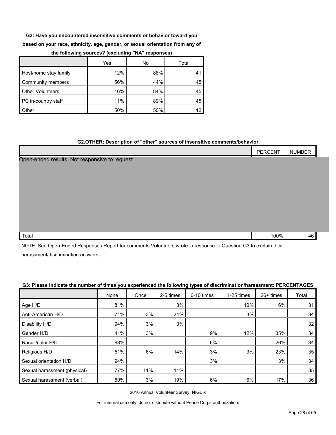**G2: Have you encountered insensitive comments or behavior toward you** 

**based on your race, ethnicity, age, gender, or sexual orientation from any of** 

|                         | Yes | No  | Total |
|-------------------------|-----|-----|-------|
| Host/home stay family   | 12% | 88% | 41    |
| Community members       | 56% | 44% | 45    |
| <b>Other Volunteers</b> | 16% | 84% | 45    |
| PC in-country staff     | 11% | 89% | 45    |
| Other                   | 50% | 50% |       |

#### **the following sources? (excluding "NA" responses)**

### **G2.OTHER: Description of "other" sources of insensitive comments/behavior**

|                                                | <b>PERCENT</b> | <b>NUMBER</b> |  |
|------------------------------------------------|----------------|---------------|--|
| Open-ended results. Not responsive to request. |                |               |  |

| Total | 100% | . . |  |
|-------|------|-----|--|
|       |      |     |  |

NOTE: See Open-Ended Responses Report for comments Volunteers wrote in response to Question G3 to explain their harassment/discrimination answers.

#### **G3: Please indicate the number of times you experienced the following types of discrimination/harassment: PERCENTAGES**

|                              | None | Once | 2-5 times | 6-10 times | 11-25 times | 26+ times | Total |
|------------------------------|------|------|-----------|------------|-------------|-----------|-------|
| Age H/D                      | 81%  |      | 3%        |            | 10%         | 6%        | 31    |
| Anti-American H/D            | 71%  | 3%   | 24%       |            | 3%          |           | 34    |
| Disability H/D               | 94%  | 3%   | 3%        |            |             |           | 32    |
| Gender H/D                   | 41%  | 3%   |           | 9%         | 12%         | 35%       | 34    |
| Racial/color H/D             | 68%  |      |           | 6%         |             | 26%       | 34    |
| Religious H/D                | 51%  | 6%   | 14%       | 3%         | 3%          | 23%       | 35    |
| Sexual orientation H/D       | 94%  |      |           | 3%         |             | 3%        | 34    |
| Sexual harassment (physical) | 77%  | 11%  | 11%       |            |             |           | 35    |
| Sexual harassment (verbal)   | 50%  | 3%   | 19%       | 6%         | 6%          | 17%       | 36    |

2010 Annual Volunteer Survey: NIGER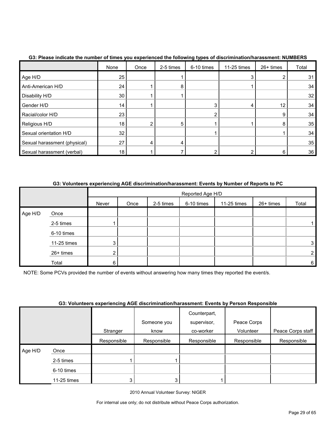|                              | None            | Once | 2-5 times | 6-10 times | 11-25 times | $26+$ times | Total |
|------------------------------|-----------------|------|-----------|------------|-------------|-------------|-------|
| Age H/D                      | 25              |      |           |            | 3           |             | 31    |
| Anti-American H/D            | 24              |      | 8         |            |             |             | 34    |
| Disability H/D               | 30 <sub>1</sub> |      |           |            |             |             | 32    |
| Gender H/D                   | 14              |      |           |            |             | 12          | 34    |
| Racial/color H/D             | 23              |      |           |            |             | 9           | 34    |
| Religious H/D                | 18              |      | 5         |            |             | 8           | 35    |
| Sexual orientation H/D       | 32              |      |           |            |             |             | 34    |
| Sexual harassment (physical) | 27              |      | $\Delta$  |            |             |             | 35    |
| Sexual harassment (verbal)   | 18              |      |           |            |             | 6           | 36    |

### **G3: Please indicate the number of times you experienced the following types of discrimination/harassment: NUMBERS**

# **G3: Volunteers experiencing AGE discrimination/harassment: Events by Number of Reports to PC**

|         |             | Reported Age H/D |      |           |            |             |           |       |
|---------|-------------|------------------|------|-----------|------------|-------------|-----------|-------|
|         |             | Never            | Once | 2-5 times | 6-10 times | 11-25 times | 26+ times | Total |
| Age H/D | Once        |                  |      |           |            |             |           |       |
|         | 2-5 times   |                  |      |           |            |             |           |       |
|         | 6-10 times  |                  |      |           |            |             |           |       |
|         | 11-25 times | 3                |      |           |            |             |           | 3     |
|         | 26+ times   | ◠<br>$\epsilon$  |      |           |            |             |           |       |
|         | Total       | 6                |      |           |            |             |           | 6     |

NOTE: Some PCVs provided the number of events without answering how many times they reported the event/s.

#### **G3: Volunteers experiencing AGE discrimination/harassment: Events by Person Responsible**

|         |             | . .         |             |                             | .           |                   |
|---------|-------------|-------------|-------------|-----------------------------|-------------|-------------------|
|         |             |             | Someone you | Counterpart,<br>supervisor, | Peace Corps |                   |
|         |             | Stranger    | know        | co-worker                   | Volunteer   | Peace Corps staff |
|         |             | Responsible | Responsible | Responsible                 | Responsible | Responsible       |
| Age H/D | Once        |             |             |                             |             |                   |
|         | 2-5 times   |             |             |                             |             |                   |
|         | 6-10 times  |             |             |                             |             |                   |
|         | 11-25 times | 3           | 3.          |                             |             |                   |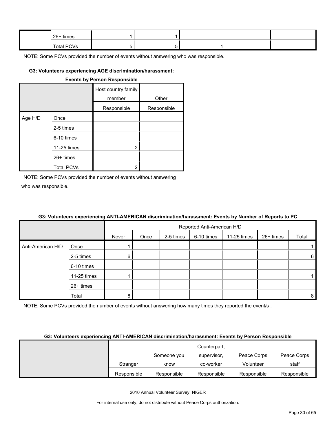| 26+ times  |  |  |  |
|------------|--|--|--|
| Total PCVs |  |  |  |

#### **G3: Volunteers experiencing AGE discrimination/harassment:**

| <b>Events by Person Responsible</b> |                   |                               |             |  |  |  |  |
|-------------------------------------|-------------------|-------------------------------|-------------|--|--|--|--|
|                                     |                   | Host country family<br>member | Other       |  |  |  |  |
|                                     |                   | Responsible                   | Responsible |  |  |  |  |
| Age H/D                             | Once              |                               |             |  |  |  |  |
|                                     | 2-5 times         |                               |             |  |  |  |  |
|                                     | 6-10 times        |                               |             |  |  |  |  |
|                                     | 11-25 times       | 2                             |             |  |  |  |  |
|                                     | $26+$ times       |                               |             |  |  |  |  |
|                                     | <b>Total PCVs</b> | 2                             |             |  |  |  |  |

NOTE: Some PCVs provided the number of events without answering who was responsible.

# **G3: Volunteers experiencing ANTI-AMERICAN discrimination/harassment: Events by Number of Reports to PC**

|                   |             |       | Reported Anti-American H/D |           |            |             |           |       |  |
|-------------------|-------------|-------|----------------------------|-----------|------------|-------------|-----------|-------|--|
|                   |             | Never | Once                       | 2-5 times | 6-10 times | 11-25 times | 26+ times | Total |  |
| Anti-American H/D | Once        |       |                            |           |            |             |           |       |  |
|                   | 2-5 times   | 6     |                            |           |            |             |           | 6     |  |
|                   | 6-10 times  |       |                            |           |            |             |           |       |  |
|                   | 11-25 times |       |                            |           |            |             |           |       |  |
|                   | 26+ times   |       |                            |           |            |             |           |       |  |
|                   | Total       |       |                            |           |            |             |           | 8     |  |

NOTE: Some PCVs provided the number of events without answering how many times they reported the event/s.

#### **G3: Volunteers experiencing ANTI-AMERICAN discrimination/harassment: Events by Person Responsible**

|             |             | Counterpart. |             |             |
|-------------|-------------|--------------|-------------|-------------|
|             | Someone you | supervisor.  | Peace Corps | Peace Corps |
| Stranger    | know        | co-worker    | Volunteer   | staff       |
| Responsible | Responsible | Responsible  | Responsible | Responsible |

2010 Annual Volunteer Survey: NIGER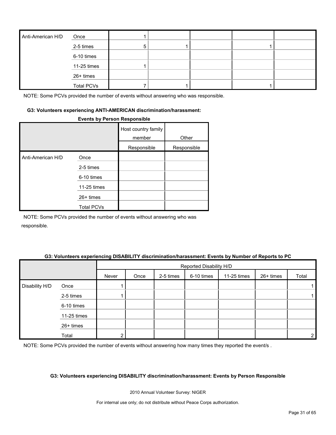| Anti-American H/D | Once              |  |  |  |
|-------------------|-------------------|--|--|--|
|                   | 2-5 times         |  |  |  |
|                   | 6-10 times        |  |  |  |
|                   | 11-25 times       |  |  |  |
|                   | 26+ times         |  |  |  |
|                   | <b>Total PCVs</b> |  |  |  |

#### **G3: Volunteers experiencing ANTI-AMERICAN discrimination/harassment:**

#### **Events by Person Responsible**

|                   |                   | Host country family<br>member | Other       |
|-------------------|-------------------|-------------------------------|-------------|
|                   |                   | Responsible                   | Responsible |
| Anti-American H/D | Once              |                               |             |
|                   | 2-5 times         |                               |             |
|                   | 6-10 times        |                               |             |
|                   | 11-25 times       |                               |             |
|                   | $26+$ times       |                               |             |
|                   | <b>Total PCVs</b> |                               |             |

NOTE: Some PCVs provided the number of events without answering who was responsible.

#### **G3: Volunteers experiencing DISABILITY discrimination/harassment: Events by Number of Reports to PC**

|                |             |       | Reported Disability H/D |           |            |             |           |                |
|----------------|-------------|-------|-------------------------|-----------|------------|-------------|-----------|----------------|
|                |             | Never | Once                    | 2-5 times | 6-10 times | 11-25 times | 26+ times | Total          |
| Disability H/D | Once        |       |                         |           |            |             |           |                |
|                | 2-5 times   |       |                         |           |            |             |           |                |
|                | 6-10 times  |       |                         |           |            |             |           |                |
|                | 11-25 times |       |                         |           |            |             |           |                |
|                | 26+ times   |       |                         |           |            |             |           |                |
|                | Total       | ົ     |                         |           |            |             |           | $\overline{2}$ |

NOTE: Some PCVs provided the number of events without answering how many times they reported the event/s.

#### **G3: Volunteers experiencing DISABILITY discrimination/harassment: Events by Person Responsible**

2010 Annual Volunteer Survey: NIGER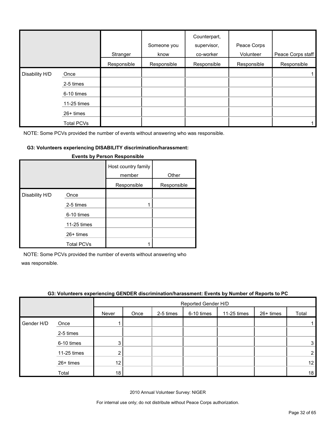|                |             | Stranger    | Someone you<br>know | Counterpart,<br>supervisor,<br>co-worker | Peace Corps<br>Volunteer | Peace Corps staff |
|----------------|-------------|-------------|---------------------|------------------------------------------|--------------------------|-------------------|
|                |             | Responsible | Responsible         | Responsible                              | Responsible              | Responsible       |
| Disability H/D | Once        |             |                     |                                          |                          |                   |
|                | 2-5 times   |             |                     |                                          |                          |                   |
|                | 6-10 times  |             |                     |                                          |                          |                   |
|                | 11-25 times |             |                     |                                          |                          |                   |
|                | 26+ times   |             |                     |                                          |                          |                   |
|                | Total PCVs  |             |                     |                                          |                          |                   |

#### **G3: Volunteers experiencing DISABILITY discrimination/harassment:**

|                |                   | Host country family<br>member | Other       |
|----------------|-------------------|-------------------------------|-------------|
|                |                   | Responsible                   | Responsible |
| Disability H/D | Once              |                               |             |
|                | 2-5 times         |                               |             |
|                | 6-10 times        |                               |             |
|                | 11-25 times       |                               |             |
|                | 26+ times         |                               |             |
|                | <b>Total PCVs</b> |                               |             |

#### **Events by Person Responsible**

NOTE: Some PCVs provided the number of events without answering who

was responsible.

|            | .           | - -             |                     |           |            |             |           |                |
|------------|-------------|-----------------|---------------------|-----------|------------|-------------|-----------|----------------|
|            |             |                 | Reported Gender H/D |           |            |             |           |                |
|            |             | Never           | Once                | 2-5 times | 6-10 times | 11-25 times | 26+ times | Total          |
| Gender H/D | Once        |                 |                     |           |            |             |           |                |
|            | 2-5 times   |                 |                     |           |            |             |           |                |
|            | 6-10 times  | 3               |                     |           |            |             |           | 3 <sub>l</sub> |
|            | 11-25 times | າ               |                     |           |            |             |           | $\overline{2}$ |
|            | 26+ times   | 12 <sup>°</sup> |                     |           |            |             |           | 12             |
|            | Total       | 18              |                     |           |            |             |           | 18             |

#### **G3: Volunteers experiencing GENDER discrimination/harassment: Events by Number of Reports to PC**

2010 Annual Volunteer Survey: NIGER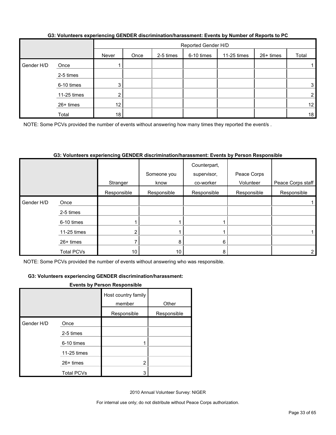|            |             |                 | Reported Gender H/D |           |            |             |           |                 |
|------------|-------------|-----------------|---------------------|-----------|------------|-------------|-----------|-----------------|
|            |             | Never           | Once                | 2-5 times | 6-10 times | 11-25 times | 26+ times | Total           |
| Gender H/D | Once        |                 |                     |           |            |             |           |                 |
|            | 2-5 times   |                 |                     |           |            |             |           |                 |
|            | 6-10 times  | 3               |                     |           |            |             |           | 3               |
|            | 11-25 times | ◠               |                     |           |            |             |           | 2 <sub>1</sub>  |
|            | 26+ times   | 12 <sub>2</sub> |                     |           |            |             |           | 12 <sub>1</sub> |
|            | Total       | 18              |                     |           |            |             |           | 18              |

### **G3: Volunteers experiencing GENDER discrimination/harassment: Events by Number of Reports to PC**

NOTE: Some PCVs provided the number of events without answering how many times they reported the event/s.

# **G3: Volunteers experiencing GENDER discrimination/harassment: Events by Person Responsible**

|            |                   | Stranger        | Someone you<br>know | Counterpart,<br>supervisor,<br>co-worker | Peace Corps<br>Volunteer | Peace Corps staff |
|------------|-------------------|-----------------|---------------------|------------------------------------------|--------------------------|-------------------|
|            |                   | Responsible     | Responsible         | Responsible                              | Responsible              | Responsible       |
| Gender H/D | Once              |                 |                     |                                          |                          |                   |
|            | 2-5 times         |                 |                     |                                          |                          |                   |
|            | 6-10 times        |                 |                     |                                          |                          |                   |
|            | 11-25 times       |                 |                     |                                          |                          |                   |
|            | $26+$ times       |                 | 8                   | 6                                        |                          |                   |
|            | <b>Total PCVs</b> | 10 <sup>°</sup> | 10 <sub>1</sub>     | 8                                        |                          |                   |

NOTE: Some PCVs provided the number of events without answering who was responsible.

#### **G3: Volunteers experiencing GENDER discrimination/harassment:**

#### **Events by Person Responsible**

|            |                   | Host country family<br>member | Other       |
|------------|-------------------|-------------------------------|-------------|
|            |                   | Responsible                   | Responsible |
| Gender H/D | Once              |                               |             |
|            | 2-5 times         |                               |             |
|            | 6-10 times        |                               |             |
|            | 11-25 times       |                               |             |
|            | 26+ times         | 2                             |             |
|            | <b>Total PCVs</b> | 3                             |             |

2010 Annual Volunteer Survey: NIGER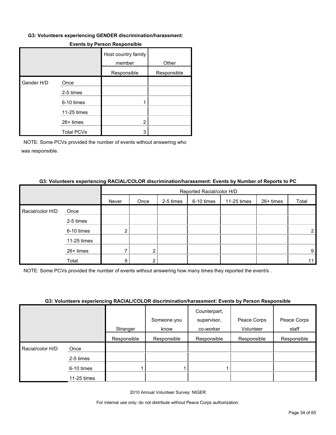#### **G3: Volunteers experiencing GENDER discrimination/harassment:**

|            |                   | Host country family<br>member | Other       |
|------------|-------------------|-------------------------------|-------------|
|            |                   | Responsible                   | Responsible |
| Gender H/D | Once              |                               |             |
|            | 2-5 times         |                               |             |
|            | 6-10 times        |                               |             |
|            | 11-25 times       |                               |             |
|            | 26+ times         | 2                             |             |
|            | <b>Total PCVs</b> | 3                             |             |

#### **Events by Person Responsible**

NOTE: Some PCVs provided the number of events without answering who was responsible.

#### **G3: Volunteers experiencing RACIAL/COLOR discrimination/harassment: Events by Number of Reports to PC**

|                  |             |       | Reported Racial/color H/D |           |            |             |           |       |  |
|------------------|-------------|-------|---------------------------|-----------|------------|-------------|-----------|-------|--|
|                  |             | Never | Once                      | 2-5 times | 6-10 times | 11-25 times | 26+ times | Total |  |
| Racial/color H/D | Once        |       |                           |           |            |             |           |       |  |
|                  | 2-5 times   |       |                           |           |            |             |           |       |  |
|                  | 6-10 times  |       |                           |           |            |             |           |       |  |
|                  | 11-25 times |       |                           |           |            |             |           |       |  |
|                  | 26+ times   |       |                           |           |            |             |           | 9.    |  |
|                  | Total       | 9     |                           |           |            |             |           |       |  |

NOTE: Some PCVs provided the number of events without answering how many times they reported the event/s .

#### **G3: Volunteers experiencing RACIAL/COLOR discrimination/harassment: Events by Person Responsible**

|                  |             | Stranger    | Someone you<br>know | Counterpart,<br>supervisor,<br>co-worker | Peace Corps<br>Volunteer | Peace Corps<br>staff |
|------------------|-------------|-------------|---------------------|------------------------------------------|--------------------------|----------------------|
|                  |             |             |                     |                                          |                          |                      |
|                  |             | Responsible | Responsible         | Responsible                              | Responsible              | Responsible          |
| Racial/color H/D | Once        |             |                     |                                          |                          |                      |
|                  | 2-5 times   |             |                     |                                          |                          |                      |
|                  | 6-10 times  |             |                     |                                          |                          |                      |
|                  | 11-25 times |             |                     |                                          |                          |                      |

2010 Annual Volunteer Survey: NIGER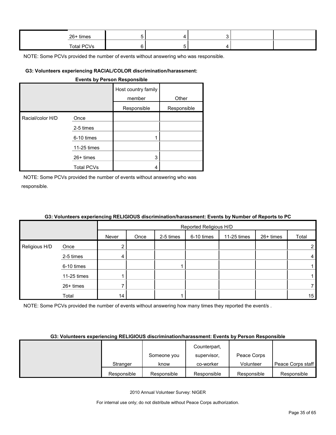| 26+ times         |  |  |  |
|-------------------|--|--|--|
| <b>Total PCVs</b> |  |  |  |

#### **G3: Volunteers experiencing RACIAL/COLOR discrimination/harassment:**

#### **Events by Person Responsible**

|                  |                   | Host country family<br>member | Other       |
|------------------|-------------------|-------------------------------|-------------|
|                  |                   |                               |             |
|                  |                   | Responsible                   | Responsible |
| Racial/color H/D | Once              |                               |             |
|                  | 2-5 times         |                               |             |
|                  | 6-10 times        |                               |             |
|                  | 11-25 times       |                               |             |
|                  | $26+$ times       | 3                             |             |
|                  | <b>Total PCVs</b> |                               |             |

NOTE: Some PCVs provided the number of events without answering who was responsible.

|               | . <b>. .</b> | Reported Religious H/D |      |           |            |             |           |       |  |
|---------------|--------------|------------------------|------|-----------|------------|-------------|-----------|-------|--|
|               |              | Never                  | Once | 2-5 times | 6-10 times | 11-25 times | 26+ times | Total |  |
| Religious H/D | Once         | ົ                      |      |           |            |             |           | 2     |  |
|               | 2-5 times    | 4                      |      |           |            |             |           | 4     |  |
|               | 6-10 times   |                        |      |           |            |             |           |       |  |
|               | 11-25 times  |                        |      |           |            |             |           |       |  |
|               | 26+ times    |                        |      |           |            |             |           | 7     |  |
|               | Total        | 14                     |      |           |            |             |           | 15    |  |

# **G3: Volunteers experiencing RELIGIOUS discrimination/harassment: Events by Number of Reports to PC**

NOTE: Some PCVs provided the number of events without answering how many times they reported the event/s.

#### **G3: Volunteers experiencing RELIGIOUS discrimination/harassment: Events by Person Responsible**

|             |             | Counterpart, |             |                   |
|-------------|-------------|--------------|-------------|-------------------|
|             | Someone you | supervisor,  | Peace Corps |                   |
| Stranger    | know        | co-worker    | Volunteer   | Peace Corps staff |
| Responsible | Responsible | Responsible  | Responsible | Responsible       |

2010 Annual Volunteer Survey: NIGER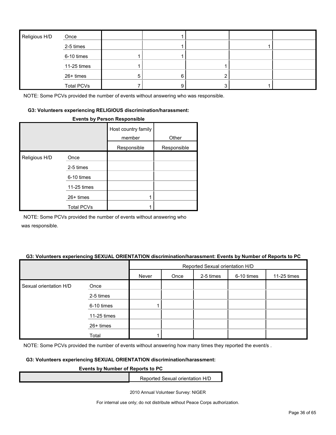| Religious H/D | Once              |   |  |  |
|---------------|-------------------|---|--|--|
|               | 2-5 times         |   |  |  |
|               | 6-10 times        |   |  |  |
|               | 11-25 times       |   |  |  |
|               | 26+ times         | b |  |  |
|               | <b>Total PCVs</b> |   |  |  |

#### **G3: Volunteers experiencing RELIGIOUS discrimination/harassment:**

#### **Events by Person Responsible**

|               |                   | Host country family<br>member | Other       |
|---------------|-------------------|-------------------------------|-------------|
|               |                   | Responsible                   | Responsible |
| Religious H/D | Once              |                               |             |
|               | 2-5 times         |                               |             |
|               | 6-10 times        |                               |             |
|               | 11-25 times       |                               |             |
|               | $26+$ times       |                               |             |
|               | <b>Total PCVs</b> |                               |             |

NOTE: Some PCVs provided the number of events without answering who

was responsible.

#### **G3: Volunteers experiencing SEXUAL ORIENTATION discrimination/harassment: Events by Number of Reports to PC**

|                        |             | Reported Sexual orientation H/D |      |           |            |             |
|------------------------|-------------|---------------------------------|------|-----------|------------|-------------|
|                        |             | Never                           | Once | 2-5 times | 6-10 times | 11-25 times |
| Sexual orientation H/D | Once        |                                 |      |           |            |             |
|                        | 2-5 times   |                                 |      |           |            |             |
|                        | 6-10 times  |                                 |      |           |            |             |
|                        | 11-25 times |                                 |      |           |            |             |
|                        | 26+ times   |                                 |      |           |            |             |
|                        | Total       |                                 |      |           |            |             |

NOTE: Some PCVs provided the number of events without answering how many times they reported the event/s.

#### **G3: Volunteers experiencing SEXUAL ORIENTATION discrimination/harassment:**

#### **Events by Number of Reports to PC**

Reported Sexual orientation H/D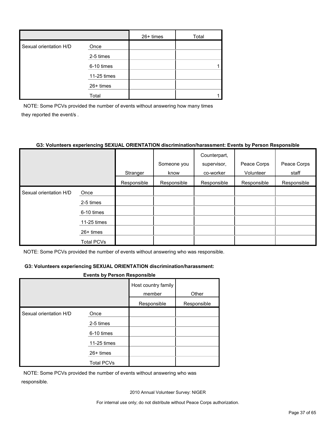|                        |             | $26+$ times | Total |
|------------------------|-------------|-------------|-------|
| Sexual orientation H/D | Once        |             |       |
|                        | 2-5 times   |             |       |
|                        | 6-10 times  |             |       |
|                        | 11-25 times |             |       |
|                        | 26+ times   |             |       |
|                        | Total       |             |       |

NOTE: Some PCVs provided the number of events without answering how many times they reported the event/s .

# **G3: Volunteers experiencing SEXUAL ORIENTATION discrimination/harassment: Events by Person Responsible**

|                        |                   |             |             | Counterpart, |             |             |
|------------------------|-------------------|-------------|-------------|--------------|-------------|-------------|
|                        |                   |             | Someone you | supervisor,  | Peace Corps | Peace Corps |
|                        |                   | Stranger    | know        | co-worker    | Volunteer   | staff       |
|                        |                   | Responsible | Responsible | Responsible  | Responsible | Responsible |
| Sexual orientation H/D | Once              |             |             |              |             |             |
|                        | 2-5 times         |             |             |              |             |             |
|                        | 6-10 times        |             |             |              |             |             |
|                        | 11-25 times       |             |             |              |             |             |
|                        | $26+$ times       |             |             |              |             |             |
|                        | <b>Total PCVs</b> |             |             |              |             |             |

NOTE: Some PCVs provided the number of events without answering who was responsible.

## **G3: Volunteers experiencing SEXUAL ORIENTATION discrimination/harassment:**

#### **Events by Person Responsible**

|                        |                   | Host country family<br>member | Other       |
|------------------------|-------------------|-------------------------------|-------------|
|                        |                   | Responsible                   | Responsible |
| Sexual orientation H/D | Once              |                               |             |
|                        | 2-5 times         |                               |             |
|                        | 6-10 times        |                               |             |
|                        | 11-25 times       |                               |             |
|                        | $26+$ times       |                               |             |
|                        | <b>Total PCVs</b> |                               |             |

NOTE: Some PCVs provided the number of events without answering who was responsible.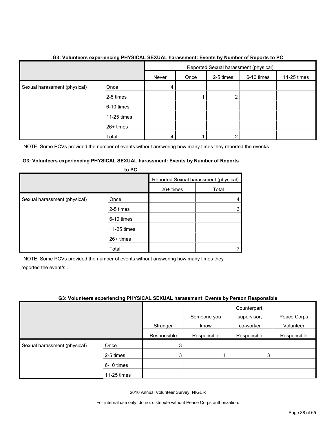|                              |             | Reported Sexual harassment (physical) |      |           |            |             |  |
|------------------------------|-------------|---------------------------------------|------|-----------|------------|-------------|--|
|                              |             | Never                                 | Once | 2-5 times | 6-10 times | 11-25 times |  |
| Sexual harassment (physical) | Once        | 4                                     |      |           |            |             |  |
|                              | 2-5 times   |                                       |      |           |            |             |  |
|                              | 6-10 times  |                                       |      |           |            |             |  |
|                              | 11-25 times |                                       |      |           |            |             |  |
|                              | 26+ times   |                                       |      |           |            |             |  |
|                              | Total       | 4                                     |      |           |            |             |  |

# **G3: Volunteers experiencing PHYSICAL SEXUAL harassment: Events by Number of Reports to PC**

NOTE: Some PCVs provided the number of events without answering how many times they reported the event/s.

#### **G3: Volunteers experiencing PHYSICAL SEXUAL harassment: Events by Number of Reports to PC**

|                              | <b>U</b> rv |                                       |       |
|------------------------------|-------------|---------------------------------------|-------|
|                              |             | Reported Sexual harassment (physical) |       |
|                              |             | 26+ times                             | Total |
| Sexual harassment (physical) | Once        |                                       |       |
|                              | 2-5 times   |                                       |       |
|                              | 6-10 times  |                                       |       |
|                              | 11-25 times |                                       |       |
|                              | 26+ times   |                                       |       |
|                              | Total       |                                       |       |

NOTE: Some PCVs provided the number of events without answering how many times they reported the event/s .

# **G3: Volunteers experiencing PHYSICAL SEXUAL harassment: Events by Person Responsible**

|                              |             |             | Someone you | Counterpart,<br>supervisor, | Peace Corps |
|------------------------------|-------------|-------------|-------------|-----------------------------|-------------|
|                              |             | Stranger    | know        | co-worker                   | Volunteer   |
|                              |             | Responsible | Responsible | Responsible                 | Responsible |
| Sexual harassment (physical) | Once        | 3           |             |                             |             |
|                              | 2-5 times   | 3           |             | 3                           |             |
|                              | 6-10 times  |             |             |                             |             |
|                              | 11-25 times |             |             |                             |             |

2010 Annual Volunteer Survey: NIGER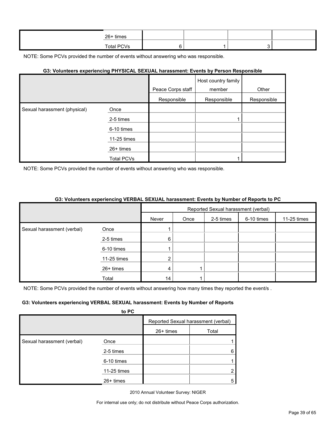| 26+ times  |  |  |
|------------|--|--|
| Total PCVs |  |  |

#### **G3: Volunteers experiencing PHYSICAL SEXUAL harassment: Events by Person Responsible**

|                              |             |                   | Host country family |             |
|------------------------------|-------------|-------------------|---------------------|-------------|
|                              |             | Peace Corps staff | member              | Other       |
|                              |             | Responsible       | Responsible         | Responsible |
| Sexual harassment (physical) | Once        |                   |                     |             |
|                              | 2-5 times   |                   |                     |             |
|                              | 6-10 times  |                   |                     |             |
|                              | 11-25 times |                   |                     |             |
|                              | 26+ times   |                   |                     |             |
|                              | Total PCVs  |                   |                     |             |

NOTE: Some PCVs provided the number of events without answering who was responsible.

#### **G3: Volunteers experiencing VERBAL SEXUAL harassment: Events by Number of Reports to PC**

|                            |             | Reported Sexual harassment (verbal) |      |           |            |             |  |
|----------------------------|-------------|-------------------------------------|------|-----------|------------|-------------|--|
|                            |             | Never                               | Once | 2-5 times | 6-10 times | 11-25 times |  |
| Sexual harassment (verbal) | Once        |                                     |      |           |            |             |  |
|                            | 2-5 times   | 6                                   |      |           |            |             |  |
|                            | 6-10 times  |                                     |      |           |            |             |  |
|                            | 11-25 times | ົ                                   |      |           |            |             |  |
|                            | 26+ times   | 4                                   |      |           |            |             |  |
|                            | Total       | 14                                  |      |           |            |             |  |

NOTE: Some PCVs provided the number of events without answering how many times they reported the event/s.

#### **G3: Volunteers experiencing VERBAL SEXUAL harassment: Events by Number of Reports**

|                            | to PC       |             |                                     |
|----------------------------|-------------|-------------|-------------------------------------|
|                            |             |             | Reported Sexual harassment (verbal) |
|                            |             | $26+$ times | Total                               |
| Sexual harassment (verbal) | Once        |             |                                     |
|                            | 2-5 times   |             | 6                                   |
|                            | 6-10 times  |             |                                     |
|                            | 11-25 times |             | າ                                   |
|                            | $26+$ times |             | 5                                   |

2010 Annual Volunteer Survey: NIGER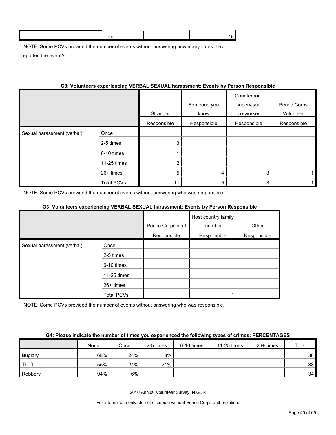NOTE: Some PCVs provided the number of events without answering how many times they reported the event/s .

# **G3: Volunteers experiencing VERBAL SEXUAL harassment: Events by Person Responsible**

|                            |                   | Stranger       | Someone you<br>know | Counterpart,<br>supervisor,<br>co-worker | Peace Corps<br>Volunteer |
|----------------------------|-------------------|----------------|---------------------|------------------------------------------|--------------------------|
|                            |                   | Responsible    | Responsible         | Responsible                              | Responsible              |
| Sexual harassment (verbal) | Once              |                |                     |                                          |                          |
|                            | 2-5 times         | 3              |                     |                                          |                          |
|                            | 6-10 times        |                |                     |                                          |                          |
|                            | 11-25 times       | $\overline{2}$ |                     |                                          |                          |
|                            | 26+ times         | 5              | 4                   | 3                                        |                          |
|                            | <b>Total PCVs</b> |                |                     | 3                                        |                          |

NOTE: Some PCVs provided the number of events without answering who was responsible.

# **G3: Volunteers experiencing VERBAL SEXUAL harassment: Events by Person Responsible**

|                            |             |                   | Host country family |             |
|----------------------------|-------------|-------------------|---------------------|-------------|
|                            |             | Peace Corps staff | member              | Other       |
|                            |             | Responsible       | Responsible         | Responsible |
| Sexual harassment (verbal) | Once        |                   |                     |             |
|                            | 2-5 times   |                   |                     |             |
|                            | 6-10 times  |                   |                     |             |
|                            | 11-25 times |                   |                     |             |
|                            | 26+ times   |                   |                     |             |
|                            | Total PCVs  |                   |                     |             |

NOTE: Some PCVs provided the number of events without answering who was responsible.

#### **G4: Please indicate the number of times you experienced the following types of crimes: PERCENTAGES**

|                | None | Once | 2-5 times | 6-10 times | 11-25 times | $26+$ times | Total |
|----------------|------|------|-----------|------------|-------------|-------------|-------|
| <b>Buglary</b> | 68%  | 24%  | $8\%$     |            |             |             | 38    |
| Theft          | 55%  | 24%  | 21%       |            |             |             | 38    |
| Robbery        | 94%  | 6%   |           |            |             |             | 34    |

2010 Annual Volunteer Survey: NIGER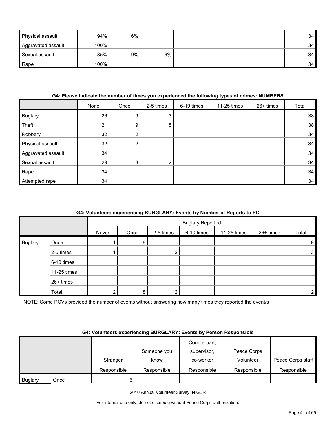| <b>Physical assault</b> | 94%  | 6% |    |  | 34 |
|-------------------------|------|----|----|--|----|
| Aggravated assault      | 100% |    |    |  | 34 |
| Sexual assault          | 85%  | 9% | 6% |  | 34 |
| Rape                    | 100% |    |    |  | 34 |

#### **G4: Please indicate the number of times you experienced the following types of crimes: NUMBERS**

|                    | None | Once | 2-5 times      | 6-10 times | 11-25 times | 26+ times | Total |
|--------------------|------|------|----------------|------------|-------------|-----------|-------|
| <b>Buglary</b>     | 26   | 9    | 3 <sup>1</sup> |            |             |           | 38    |
| Theft              | 21   | 9    | 8              |            |             |           | 38    |
| Robbery            | 32   | ◠    |                |            |             |           | 34    |
| Physical assault   | 32   | 2    |                |            |             |           | 34    |
| Aggravated assault | 34   |      |                |            |             |           | 34    |
| Sexual assault     | 29   | 3    | $\overline{2}$ |            |             |           | 34    |
| Rape               | 34   |      |                |            |             |           | 34    |
| Attempted rape     | 34   |      |                |            |             |           | 34    |

# **G4: Volunteers experiencing BURGLARY: Events by Number of Reports to PC**

|                |             |       |      |           | <b>Buglary Reported</b> |             |           |              |
|----------------|-------------|-------|------|-----------|-------------------------|-------------|-----------|--------------|
|                |             | Never | Once | 2-5 times | 6-10 times              | 11-25 times | 26+ times | Total        |
| <b>Buglary</b> | Once        |       | 8    |           |                         |             |           | 9            |
|                | 2-5 times   |       |      | ົ         |                         |             |           | $\mathbf{3}$ |
|                | 6-10 times  |       |      |           |                         |             |           |              |
|                | 11-25 times |       |      |           |                         |             |           |              |
|                | 26+ times   |       |      |           |                         |             |           |              |
|                | Total       | ົ     | 8.   | ົ         |                         |             |           | 12           |

NOTE: Some PCVs provided the number of events without answering how many times they reported the event/s .

#### **G4: Volunteers experiencing BURGLARY: Events by Person Responsible**

|                |      |             |             | Counterpart, |             |                   |
|----------------|------|-------------|-------------|--------------|-------------|-------------------|
|                |      |             | Someone you | supervisor.  | Peace Corps |                   |
|                |      | Stranger    | know        | co-worker    | Volunteer   | Peace Corps staff |
|                |      | Responsible | Responsible | Responsible  | Responsible | Responsible       |
| <b>Buglary</b> | Once | 6           |             |              |             |                   |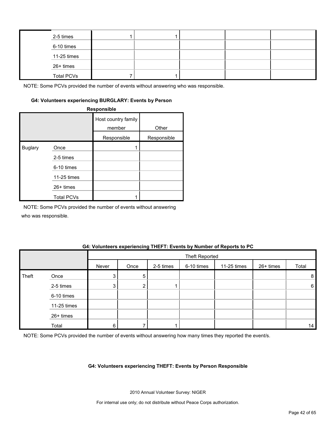| 2-5 times         |  |  |  |
|-------------------|--|--|--|
| 6-10 times        |  |  |  |
| $11-25$ times     |  |  |  |
| 26+ times         |  |  |  |
| <b>Total PCVs</b> |  |  |  |

#### **G4: Volunteers experiencing BURGLARY: Events by Person**

**Responsible**

|                |                   | Host country family<br>member | Other       |
|----------------|-------------------|-------------------------------|-------------|
|                |                   | Responsible                   | Responsible |
| <b>Buglary</b> | Once              |                               |             |
|                | 2-5 times         |                               |             |
|                | 6-10 times        |                               |             |
|                | 11-25 times       |                               |             |
|                | 26+ times         |                               |             |
|                | <b>Total PCVs</b> |                               |             |

NOTE: Some PCVs provided the number of events without answering

who was responsible.

#### **G4: Volunteers experiencing THEFT: Events by Number of Reports to PC**

|       |             |       |      |           | Theft Reported |             |           |                 |
|-------|-------------|-------|------|-----------|----------------|-------------|-----------|-----------------|
|       |             | Never | Once | 2-5 times | 6-10 times     | 11-25 times | 26+ times | Total           |
| Theft | Once        | 3     | 5    |           |                |             |           | 8               |
|       | 2-5 times   | 3     | ◠    |           |                |             |           | $6\phantom{.}6$ |
|       | 6-10 times  |       |      |           |                |             |           |                 |
|       | 11-25 times |       |      |           |                |             |           |                 |
|       | 26+ times   |       |      |           |                |             |           |                 |
|       | Total       | 6     |      |           |                |             |           | 14              |

NOTE: Some PCVs provided the number of events without answering how many times they reported the event/s.

#### **G4: Volunteers experiencing THEFT: Events by Person Responsible**

2010 Annual Volunteer Survey: NIGER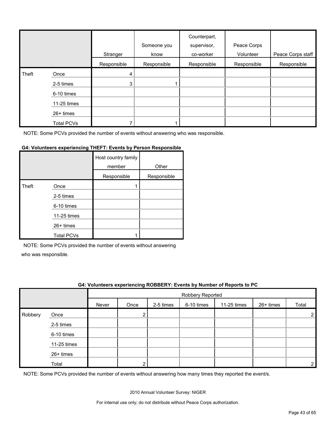|       |                   | Stranger    | Someone you<br>know | Counterpart,<br>supervisor,<br>co-worker | Peace Corps<br>Volunteer | Peace Corps staff |
|-------|-------------------|-------------|---------------------|------------------------------------------|--------------------------|-------------------|
|       |                   | Responsible | Responsible         | Responsible                              | Responsible              | Responsible       |
| Theft | Once              | 4           |                     |                                          |                          |                   |
|       | 2-5 times         | 3           |                     |                                          |                          |                   |
|       | 6-10 times        |             |                     |                                          |                          |                   |
|       | 11-25 times       |             |                     |                                          |                          |                   |
|       | $26+$ times       |             |                     |                                          |                          |                   |
|       | <b>Total PCVs</b> |             |                     |                                          |                          |                   |

#### **G4: Volunteers experiencing THEFT: Events by Person Responsible**

|       |                   | Host country family<br>member | Other       |
|-------|-------------------|-------------------------------|-------------|
|       |                   | Responsible                   | Responsible |
| Theft | Once              |                               |             |
|       | 2-5 times         |                               |             |
|       | 6-10 times        |                               |             |
|       | 11-25 times       |                               |             |
|       | 26+ times         |                               |             |
|       | <b>Total PCVs</b> |                               |             |

NOTE: Some PCVs provided the number of events without answering

who was responsible.

#### **G4: Volunteers experiencing ROBBERY: Events by Number of Reports to PC**

|         |             |       | Robbery Reported |           |            |             |           |                |
|---------|-------------|-------|------------------|-----------|------------|-------------|-----------|----------------|
|         |             | Never | Once             | 2-5 times | 6-10 times | 11-25 times | 26+ times | Total          |
| Robbery | Once        |       | ◠                |           |            |             |           | $\overline{2}$ |
|         | 2-5 times   |       |                  |           |            |             |           |                |
|         | 6-10 times  |       |                  |           |            |             |           |                |
|         | 11-25 times |       |                  |           |            |             |           |                |
|         | 26+ times   |       |                  |           |            |             |           |                |
|         | Total       |       | ົ                |           |            |             |           | 2 <sub>1</sub> |

NOTE: Some PCVs provided the number of events without answering how many times they reported the event/s.

2010 Annual Volunteer Survey: NIGER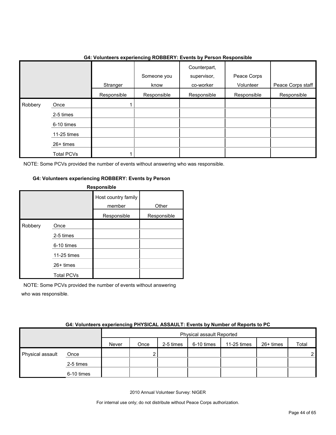|         |                                                                                  |             | ັ                   |                                          |                          |                   |
|---------|----------------------------------------------------------------------------------|-------------|---------------------|------------------------------------------|--------------------------|-------------------|
|         |                                                                                  | Stranger    | Someone you<br>know | Counterpart,<br>supervisor,<br>co-worker | Peace Corps<br>Volunteer | Peace Corps staff |
|         |                                                                                  | Responsible | Responsible         | Responsible                              | Responsible              | Responsible       |
| Robbery | Once<br>2-5 times<br>6-10 times<br>11-25 times<br>26+ times<br><b>Total PCVs</b> |             |                     |                                          |                          |                   |

# **G4: Volunteers experiencing ROBBERY: Events by Person Responsible**

NOTE: Some PCVs provided the number of events without answering who was responsible.

#### **G4: Volunteers experiencing ROBBERY: Events by Person**

| <b>Responsible</b> |                   |                               |             |  |  |  |  |
|--------------------|-------------------|-------------------------------|-------------|--|--|--|--|
|                    |                   | Host country family<br>member | Other       |  |  |  |  |
|                    |                   | Responsible                   | Responsible |  |  |  |  |
| Robbery            | Once              |                               |             |  |  |  |  |
|                    | 2-5 times         |                               |             |  |  |  |  |
|                    | 6-10 times        |                               |             |  |  |  |  |
|                    | 11-25 times       |                               |             |  |  |  |  |
|                    | $26+$ times       |                               |             |  |  |  |  |
|                    | <b>Total PCVs</b> |                               |             |  |  |  |  |

NOTE: Some PCVs provided the number of events without answering who was responsible.

| G4: Volunteers experiencing PHYSICAL ASSAULT: Events by Number of Reports to PC |  |  |
|---------------------------------------------------------------------------------|--|--|
|                                                                                 |  |  |
|                                                                                 |  |  |

|                  |            | Physical assault Reported |      |           |            |             |           |                |  |
|------------------|------------|---------------------------|------|-----------|------------|-------------|-----------|----------------|--|
|                  |            | Never                     | Once | 2-5 times | 6-10 times | 11-25 times | 26+ times | Total          |  |
| Physical assault | Once       |                           |      |           |            |             |           | 2 <sub>1</sub> |  |
|                  | 2-5 times  |                           |      |           |            |             |           |                |  |
|                  | 6-10 times |                           |      |           |            |             |           |                |  |

2010 Annual Volunteer Survey: NIGER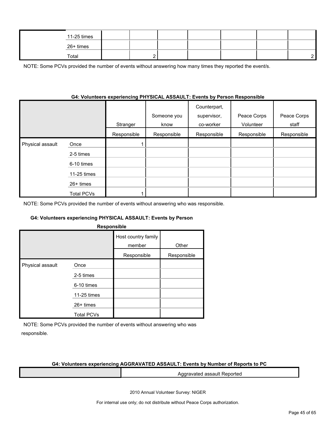| 11-25 times |          |  |  |  |
|-------------|----------|--|--|--|
| 26+ times   |          |  |  |  |
| Total       | <u>_</u> |  |  |  |

NOTE: Some PCVs provided the number of events without answering how many times they reported the event/s.

#### **G4: Volunteers experiencing PHYSICAL ASSAULT: Events by Person Responsible**

|                  |                   | Stranger    | Someone you<br>know | Counterpart,<br>supervisor,<br>co-worker | Peace Corps<br>Volunteer | Peace Corps<br>staff |
|------------------|-------------------|-------------|---------------------|------------------------------------------|--------------------------|----------------------|
|                  |                   | Responsible | Responsible         | Responsible                              | Responsible              | Responsible          |
| Physical assault | Once              |             |                     |                                          |                          |                      |
|                  | 2-5 times         |             |                     |                                          |                          |                      |
|                  | 6-10 times        |             |                     |                                          |                          |                      |
|                  | 11-25 times       |             |                     |                                          |                          |                      |
|                  | $26+$ times       |             |                     |                                          |                          |                      |
|                  | <b>Total PCVs</b> |             |                     |                                          |                          |                      |

NOTE: Some PCVs provided the number of events without answering who was responsible.

#### **G4: Volunteers experiencing PHYSICAL ASSAULT: Events by Person**

| <b>Responsible</b> |
|--------------------|
|--------------------|

|                  |                   | Host country family<br>member | Other       |
|------------------|-------------------|-------------------------------|-------------|
|                  |                   | Responsible                   | Responsible |
| Physical assault | Once              |                               |             |
|                  | 2-5 times         |                               |             |
|                  | 6-10 times        |                               |             |
|                  | 11-25 times       |                               |             |
|                  | $26+$ times       |                               |             |
|                  | <b>Total PCVs</b> |                               |             |

NOTE: Some PCVs provided the number of events without answering who was responsible.

#### **G4: Volunteers experiencing AGGRAVATED ASSAULT: Events by Number of Reports to PC**

Aggravated assault Reported

2010 Annual Volunteer Survey: NIGER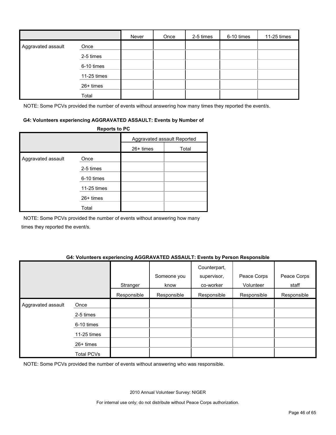|                    |             | Never | Once | 2-5 times | 6-10 times | 11-25 times |
|--------------------|-------------|-------|------|-----------|------------|-------------|
| Aggravated assault | Once        |       |      |           |            |             |
|                    | 2-5 times   |       |      |           |            |             |
|                    | 6-10 times  |       |      |           |            |             |
|                    | 11-25 times |       |      |           |            |             |
|                    | 26+ times   |       |      |           |            |             |
|                    | Total       |       |      |           |            |             |

NOTE: Some PCVs provided the number of events without answering how many times they reported the event/s.

#### **G4: Volunteers experiencing AGGRAVATED ASSAULT: Events by Number of**

|                    | <b>Reports to PC</b> |           |                             |
|--------------------|----------------------|-----------|-----------------------------|
|                    |                      |           | Aggravated assault Reported |
|                    |                      | 26+ times | Total                       |
| Aggravated assault | Once                 |           |                             |
|                    | 2-5 times            |           |                             |
|                    | 6-10 times           |           |                             |
|                    | 11-25 times          |           |                             |
|                    | 26+ times            |           |                             |
|                    | Total                |           |                             |

NOTE: Some PCVs provided the number of events without answering how many times they reported the event/s.

#### **G4: Volunteers experiencing AGGRAVATED ASSAULT: Events by Person Responsible**

|                    |                   | Stranger    | Someone you<br>know | Counterpart,<br>supervisor,<br>co-worker | Peace Corps<br>Volunteer | Peace Corps<br>staff |
|--------------------|-------------------|-------------|---------------------|------------------------------------------|--------------------------|----------------------|
|                    |                   | Responsible | Responsible         | Responsible                              | Responsible              | Responsible          |
| Aggravated assault | Once              |             |                     |                                          |                          |                      |
|                    | 2-5 times         |             |                     |                                          |                          |                      |
|                    | 6-10 times        |             |                     |                                          |                          |                      |
|                    | 11-25 times       |             |                     |                                          |                          |                      |
|                    | 26+ times         |             |                     |                                          |                          |                      |
|                    | <b>Total PCVs</b> |             |                     |                                          |                          |                      |

NOTE: Some PCVs provided the number of events without answering who was responsible.

2010 Annual Volunteer Survey: NIGER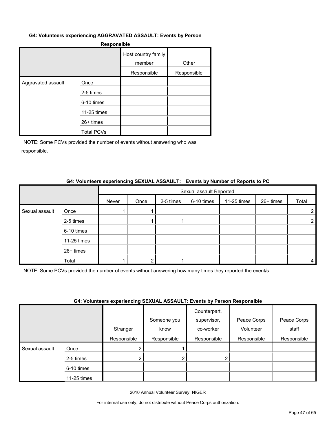#### **G4: Volunteers experiencing AGGRAVATED ASSAULT: Events by Person**

| <b>Responsible</b> |
|--------------------|
|--------------------|

|                    |                   | Host country family<br>member | Other       |
|--------------------|-------------------|-------------------------------|-------------|
|                    |                   | Responsible                   | Responsible |
| Aggravated assault | Once              |                               |             |
|                    | 2-5 times         |                               |             |
|                    | 6-10 times        |                               |             |
|                    | 11-25 times       |                               |             |
|                    | $26+$ times       |                               |             |
|                    | <b>Total PCVs</b> |                               |             |

NOTE: Some PCVs provided the number of events without answering who was responsible.

#### **G4: Volunteers experiencing SEXUAL ASSAULT: Events by Number of Reports to PC**

|                |             | Sexual assault Reported |      |           |            |             |           |       |  |
|----------------|-------------|-------------------------|------|-----------|------------|-------------|-----------|-------|--|
|                |             | Never                   | Once | 2-5 times | 6-10 times | 11-25 times | 26+ times | Total |  |
| Sexual assault | Once        |                         |      |           |            |             |           |       |  |
|                | 2-5 times   |                         |      |           |            |             |           |       |  |
|                | 6-10 times  |                         |      |           |            |             |           |       |  |
|                | 11-25 times |                         |      |           |            |             |           |       |  |
|                | 26+ times   |                         |      |           |            |             |           |       |  |
|                | Total       |                         |      |           |            |             |           | 4     |  |

NOTE: Some PCVs provided the number of events without answering how many times they reported the event/s.

#### **G4: Volunteers experiencing SEXUAL ASSAULT: Events by Person Responsible**

|                |             | .           |             | Counterpart, |             |             |
|----------------|-------------|-------------|-------------|--------------|-------------|-------------|
|                |             |             | Someone you | supervisor,  | Peace Corps | Peace Corps |
|                |             | Stranger    | know        | co-worker    | Volunteer   | staff       |
|                |             | Responsible | Responsible | Responsible  | Responsible | Responsible |
| Sexual assault | Once        | 2           |             |              |             |             |
|                | 2-5 times   | 2           |             |              |             |             |
|                | 6-10 times  |             |             |              |             |             |
|                | 11-25 times |             |             |              |             |             |

2010 Annual Volunteer Survey: NIGER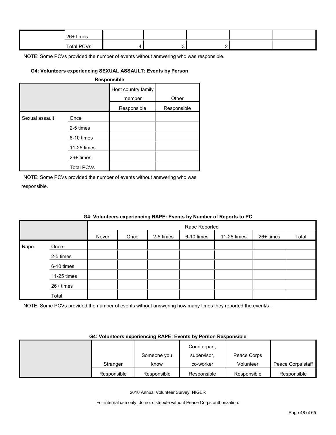| 26+ times  |  |  |  |
|------------|--|--|--|
| Total PCVs |  |  |  |

# **G4: Volunteers experiencing SEXUAL ASSAULT: Events by Person**

#### **Responsible**

|                |                   | Host country family<br>member | Other       |
|----------------|-------------------|-------------------------------|-------------|
|                |                   | Responsible                   | Responsible |
| Sexual assault | Once              |                               |             |
|                | 2-5 times         |                               |             |
|                | 6-10 times        |                               |             |
|                | 11-25 times       |                               |             |
|                | $26+$ times       |                               |             |
|                | <b>Total PCVs</b> |                               |             |

NOTE: Some PCVs provided the number of events without answering who was responsible.

Rape

26+ times Total

| 04: VOIUNTER'S EXPERIENCING RAPE: EVENTS by NUMBER OF REPORTS TO PU |       |      |           |               |             |           |       |  |
|---------------------------------------------------------------------|-------|------|-----------|---------------|-------------|-----------|-------|--|
|                                                                     |       |      |           | Rape Reported |             |           |       |  |
|                                                                     | Never | Once | 2-5 times | 6-10 times    | 11-25 times | 26+ times | Total |  |
| Once                                                                |       |      |           |               |             |           |       |  |
| 2-5 times                                                           |       |      |           |               |             |           |       |  |
| 6-10 times                                                          |       |      |           |               |             |           |       |  |
| 11-25 times                                                         |       |      |           |               |             |           |       |  |
|                                                                     |       |      |           |               |             |           |       |  |

# **G4: Volunteers experiencing RAPE: Events by Number of Reports to PC**

NOTE: Some PCVs provided the number of events without answering how many times they reported the event/s.

#### **G4: Volunteers experiencing RAPE: Events by Person Responsible**

|             |             | Counterpart, |             |                   |
|-------------|-------------|--------------|-------------|-------------------|
|             | Someone you | supervisor.  | Peace Corps |                   |
| Stranger    | know        | co-worker    | Volunteer   | Peace Corps staff |
| Responsible | Responsible | Responsible  | Responsible | Responsible       |

2010 Annual Volunteer Survey: NIGER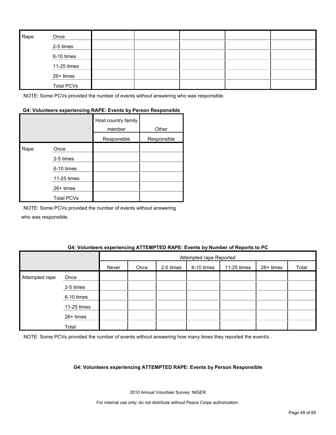| Rape | Once              |  |  |  |
|------|-------------------|--|--|--|
|      | 2-5 times         |  |  |  |
|      | 6-10 times        |  |  |  |
|      | 11-25 times       |  |  |  |
|      | 26+ times         |  |  |  |
|      | <b>Total PCVs</b> |  |  |  |

# **G4: Volunteers experiencing RAPE: Events by Person Responsible**

|      |                   | Host country family<br>member | Other       |
|------|-------------------|-------------------------------|-------------|
|      |                   | Responsible                   | Responsible |
| Rape | Once              |                               |             |
|      | 2-5 times         |                               |             |
|      | 6-10 times        |                               |             |
|      | 11-25 times       |                               |             |
|      | 26+ times         |                               |             |
|      | <b>Total PCVs</b> |                               |             |

NOTE: Some PCVs provided the number of events without answering who was responsible.

#### **G4: Volunteers experiencing ATTEMPTED RAPE: Events by Number of Reports to PC**

|                |             |       | Attempted rape Reported |           |            |             |           |       |
|----------------|-------------|-------|-------------------------|-----------|------------|-------------|-----------|-------|
|                |             | Never | Once                    | 2-5 times | 6-10 times | 11-25 times | 26+ times | Total |
| Attempted rape | Once        |       |                         |           |            |             |           |       |
|                | 2-5 times   |       |                         |           |            |             |           |       |
|                | 6-10 times  |       |                         |           |            |             |           |       |
|                | 11-25 times |       |                         |           |            |             |           |       |
|                | 26+ times   |       |                         |           |            |             |           |       |
|                | Total       |       |                         |           |            |             |           |       |

NOTE: Some PCVs provided the number of events without answering how many times they reported the event/s .

#### **G4: Volunteers experiencing ATTEMPTED RAPE: Events by Person Responsible**

2010 Annual Volunteer Survey: NIGER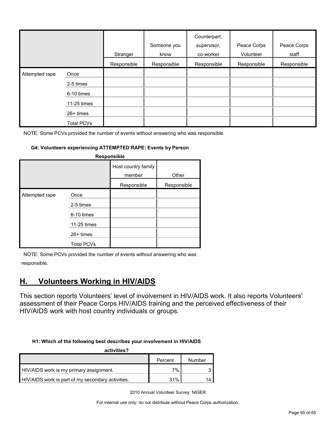|                |                   | Stranger    | Someone you<br>know | Counterpart,<br>supervisor,<br>co-worker | Peace Corps<br>Volunteer | Peace Corps<br>staff |
|----------------|-------------------|-------------|---------------------|------------------------------------------|--------------------------|----------------------|
|                |                   | Responsible | Responsible         | Responsible                              | Responsible              | Responsible          |
| Attempted rape | Once              |             |                     |                                          |                          |                      |
|                | 2-5 times         |             |                     |                                          |                          |                      |
|                | 6-10 times        |             |                     |                                          |                          |                      |
|                | 11-25 times       |             |                     |                                          |                          |                      |
|                | $26+$ times       |             |                     |                                          |                          |                      |
|                | <b>Total PCVs</b> |             |                     |                                          |                          |                      |

#### **G4: Volunteers experiencing ATTEMPTED RAPE: Events by Person**

| Responsible    |                                                               |                               |             |  |  |  |  |  |
|----------------|---------------------------------------------------------------|-------------------------------|-------------|--|--|--|--|--|
|                |                                                               | Host country family<br>member | Other       |  |  |  |  |  |
|                |                                                               | Responsible                   | Responsible |  |  |  |  |  |
| Attempted rape | Once<br>2-5 times<br>6-10 times<br>11-25 times<br>$26+$ times |                               |             |  |  |  |  |  |
|                | <b>Total PCVs</b>                                             |                               |             |  |  |  |  |  |

NOTE: Some PCVs provided the number of events without answering who was responsible.

# <span id="page-49-0"></span>**H. Volunteers Working in HIV/AIDS**

This section reports Volunteers' level of involvement in HIV/AIDS work. It also reports Volunteers' assessment of their Peace Corps HIV/AIDS training and the perceived effectiveness of their HIV/AIDS work with host country individuals or groups.

#### **H1: Which of the following best describes your involvement in HIV/AIDS**

| activities?                                       |         |        |
|---------------------------------------------------|---------|--------|
|                                                   | Percent | Number |
| HIV/AIDS work is my primary assignment.           | 7%      |        |
| HIV/AIDS work is part of my secondary activities. | 31%     | 14     |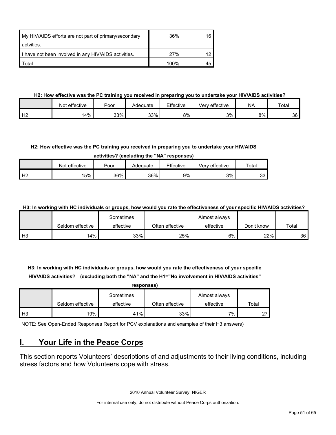| My HIV/AIDS efforts are not part of primary/secondary | 36%  | 16 |
|-------------------------------------------------------|------|----|
| actvities.                                            |      |    |
| I have not been involved in any HIV/AIDS activities.  | 27%  |    |
| Total                                                 | 100% | 45 |

# **H2: How effective was the PC training you received in preparing you to undertake your HIV/AIDS activities?**

|                | Not effective | Poor | Adeɑuate | Effective | ' effective<br>Verv | <b>NA</b> | Total |
|----------------|---------------|------|----------|-----------|---------------------|-----------|-------|
| H <sub>2</sub> | 14%           | 33%  | 33%      | 8%        | 3%                  | 8%        | 36    |

# **H2: How effective was the PC training you received in preparing you to undertake your HIV/AIDS**

**activities? (excluding the "NA" responses)**

|                | Not effective | Poor | Adeɑuate | Effective | effective<br>verv | $\tau$ otar |
|----------------|---------------|------|----------|-----------|-------------------|-------------|
| H <sub>2</sub> | 15%           | 36%  | 36%      | 9%        | 3%                | っっ<br>ບບ    |

**H3: In working with HC individuals or groups, how would you rate the effectiveness of your specific HIV/AIDS activities?** 

|                |                  | Sometimes |                 | Almost always |            |       |
|----------------|------------------|-----------|-----------------|---------------|------------|-------|
|                | Seldom effective | effective | Often effective | effective     | Don't know | Total |
| H <sub>3</sub> | $14\%$           | 33%       | 25%             | 6%            | 22%        | 36    |

**H3: In working with HC individuals or groups, how would you rate the effectiveness of your specific HIV/AIDS activities? (excluding both the "NA" and the H1="No involvement in HIV/AIDS activities"** 

|                | responses)       |           |                 |               |       |  |
|----------------|------------------|-----------|-----------------|---------------|-------|--|
|                |                  | Sometimes |                 | Almost always |       |  |
|                | Seldom effective | effective | Often effective | effective     | Total |  |
| H <sub>3</sub> | 19%              | 41%       | 33%             | 7%            |       |  |

NOTE: See Open-Ended Responses Report for PCV explanations and examples of their H3 answers)

# <span id="page-50-0"></span>**I. Your Life in the Peace Corps**

This section reports Volunteers' descriptions of and adjustments to their living conditions, including stress factors and how Volunteers cope with stress.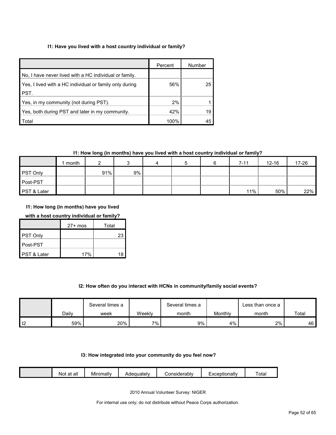# **I1: Have you lived with a host country individual or family?**

|                                                         | Percent | Number |
|---------------------------------------------------------|---------|--------|
| No, I have never lived with a HC individual or family.  |         |        |
| Yes, I lived with a HC individual or family only during | 56%     | 25     |
| PST.                                                    |         |        |
| Yes, in my community (not during PST).                  | 2%      |        |
| Yes, both during PST and later in my community.         | 42%     | 19     |
| Total                                                   | 100%    |        |

# **I1: How long (in months) have you lived with a host country individual or family?**

|                 | month |     |    | 4 | b | $7 - 11$ | $12 - 16$ | 17-26 |
|-----------------|-------|-----|----|---|---|----------|-----------|-------|
| <b>PST Only</b> |       | 91% | 9% |   |   |          |           |       |
| Post-PST        |       |     |    |   |   |          |           |       |
| PST & Later     |       |     |    |   |   | 11%      | 50%       | 22%   |

**I1: How long (in months) have you lived** 

# **with a host country individual or family?**

|             | $27+$ mos | Total |
|-------------|-----------|-------|
| PST Only    |           | 23    |
| Post-PST    |           |       |
| PST & Later | 17%       |       |

# **I2: How often do you interact with HCNs in community/family social events?**

|    |       | Several times a |        | Several times a |         | ∟ess than once a |       |
|----|-------|-----------------|--------|-----------------|---------|------------------|-------|
|    | Dailv | week            | Weeklv | month           | Monthly | month            | Total |
| -- | 59%   | 20%             | 7%     | 9%              | 4%      | 2%               | 46    |

#### **I3: How integrated into your community do you feel now?**

| - -<br><br><br>Tota.<br>onsiderablv;<br>Adequately<br>.otionallv<br>Minimally<br>all<br>$\sim$<br>ΝΟί<br>dι<br>_ |  |
|------------------------------------------------------------------------------------------------------------------|--|
|------------------------------------------------------------------------------------------------------------------|--|

2010 Annual Volunteer Survey: NIGER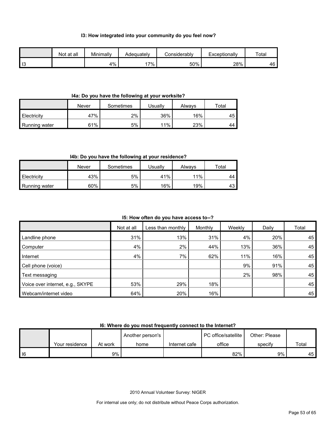#### **I3: How integrated into your community do you feel now?**

|                | Not at all | Minimally | Adeauatelv | Considerablv | Exceptionally | Total |
|----------------|------------|-----------|------------|--------------|---------------|-------|
| $\blacksquare$ |            | 4%        | $7\%$      | 50%          | 28%           | 46    |

### **I4a: Do you have the following at your worksite?**

|               | Never | Sometimes | Jsuallv | Alwavs | $\tau$ otal |
|---------------|-------|-----------|---------|--------|-------------|
| Electricity   | 47%   | 2%        | 36%     | 16%    | 45          |
| Running water | 61%   | 5%        | 11%     | 23%    | 44          |

# **I4b: Do you have the following at your residence?**

|               | Never | Sometimes | Usuallv | Alwavs | $\tau$ otal |
|---------------|-------|-----------|---------|--------|-------------|
| Electricity   | 43%   | 5%        | 41%     | 11%    | 44          |
| Running water | 60%   | 5%        | 16%     | 19%    | 43          |

### **I5: How often do you have access to--?**

|                                  | Not at all | Less than monthly | Monthly | Weekly | Daily | Total |
|----------------------------------|------------|-------------------|---------|--------|-------|-------|
| Landline phone                   | 31%        | 13%               | 31%     | 4%     | 20%   | 45'   |
| Computer                         | 4%         | 2%                | 44%     | 13%    | 36%   | 45    |
| Internet                         | 4%         | 7%                | 62%     | 11%    | 16%   | 45    |
| Cell phone (voice)               |            |                   |         | 9%     | 91%   | 45    |
| Text messaging                   |            |                   |         | 2%     | 98%   | 45    |
| Voice over internet, e.g., SKYPE | 53%        | 29%               | 18%     |        |       | 45    |
| Webcam/internet video            | 64%        | 20%               | 16%     |        |       | 45    |

# **I6: Where do you most frequently connect to the Internet?**

|        |                |         | Another person's |               | PC office/satellite | Other: Please |       |
|--------|----------------|---------|------------------|---------------|---------------------|---------------|-------|
|        | Your residence | At work | home             | Internet cafe | office              | specify       | Total |
| $ $ 16 |                | 9%      |                  |               | 82%                 | 9%            | 45 I  |

2010 Annual Volunteer Survey: NIGER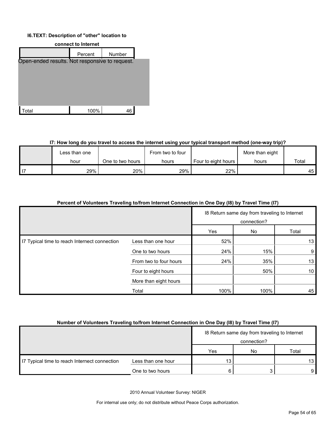#### **I6.TEXT: Description of "other" location to**



#### **I7: How long do you travel to access the internet using your typical transport method (one-way trip)?**

| Less than one |                  | From two to four |                     | More than eight |       |
|---------------|------------------|------------------|---------------------|-----------------|-------|
| hour          | One to two hours | hours            | Four to eight hours | hours           | Total |
| 29%           | 20%              | 29%              | 22%                 |                 | 45    |

| Percent of Volunteers Traveling to/from Internet Connection in One Day (18) by Travel Time (17) |                        |                                                              |      |                 |
|-------------------------------------------------------------------------------------------------|------------------------|--------------------------------------------------------------|------|-----------------|
|                                                                                                 |                        | 18 Return same day from traveling to Internet<br>connection? |      |                 |
|                                                                                                 |                        | Yes                                                          | No   | Total           |
| 17 Typical time to reach Internect connection                                                   | Less than one hour     | 52%                                                          |      | 13              |
|                                                                                                 | One to two hours       | 24%                                                          | 15%  | 9               |
|                                                                                                 | From two to four hours | 24%                                                          | 35%  | 13              |
|                                                                                                 | Four to eight hours    |                                                              | 50%  | 10 <sup>1</sup> |
|                                                                                                 | More than eight hours  |                                                              |      |                 |
|                                                                                                 | Total                  | 100%                                                         | 100% | 45              |

# **Number of Volunteers Traveling to/from Internet Connection in One Day (I8) by Travel Time (I7)**

|                                               |                    |     | 18 Return same day from traveling to Internet<br>connection? |       |
|-----------------------------------------------|--------------------|-----|--------------------------------------------------------------|-------|
|                                               |                    | Yes | No                                                           | Total |
| IT Typical time to reach Internect connection | Less than one hour | 13  |                                                              | 13 I  |
|                                               | One to two hours   |     |                                                              | 9 I   |

2010 Annual Volunteer Survey: NIGER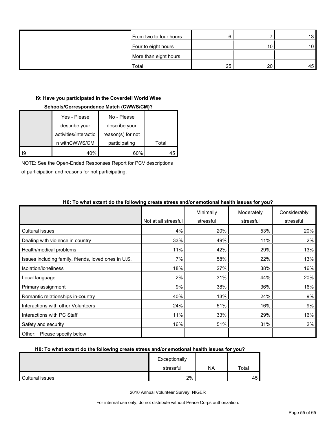| From two to four hours |    |    | 13 <sup>1</sup> |
|------------------------|----|----|-----------------|
| Four to eight hours    |    |    | 10 <sup>1</sup> |
| More than eight hours  |    |    |                 |
| Total                  | 25 | 20 | 45              |

### **I9: Have you participated in the Coverdell World Wise**

# **Schools/Correspondence Match (CWWS/CM)?**

| Yes - Please          | No - Please       |       |
|-----------------------|-------------------|-------|
| describe your         | describe your     |       |
| activities/interactio | reason(s) for not |       |
| n withCWWS/CM         | participating     | Total |
| 40%                   | 60%               |       |

NOTE: See the Open-Ended Responses Report for PCV descriptions

of participation and reasons for not participating.

|                                                      | Not at all stressful | Minimally<br>stressful | Moderately<br>stressful | Considerably<br>stressful |
|------------------------------------------------------|----------------------|------------------------|-------------------------|---------------------------|
|                                                      |                      |                        |                         |                           |
| <b>Cultural issues</b>                               | 4%                   | 20%                    | 53%                     | 20%                       |
| Dealing with violence in country                     | 33%                  | 49%                    | 11%                     | 2%                        |
| Health/medical problems                              | 11%                  | 42%                    | 29%                     | 13%                       |
| Issues including family, friends, loved ones in U.S. | 7%                   | 58%                    | 22%                     | 13%                       |
| Isolation/loneliness                                 | 18%                  | 27%                    | 38%                     | 16%                       |
| Local language                                       | 2%                   | 31%                    | 44%                     | 20%                       |
| Primary assignment                                   | 9%                   | 38%                    | 36%                     | 16%                       |
| Romantic relationships in-country                    | 40%                  | 13%                    | 24%                     | 9%                        |
| Interactions with other Volunteers                   | 24%                  | 51%                    | 16%                     | 9%                        |
| Interactions with PC Staff                           | 11%                  | 33%                    | 29%                     | 16%                       |
| Safety and security                                  | 16%                  | 51%                    | 31%                     | 2%                        |
| Other: Please specify below                          |                      |                        |                         |                           |

# **I10: To what extent do the following create stress and/or emotional health issues for you?**

#### **I10: To what extent do the following create stress and/or emotional health issues for you?**

|                 | Exceptionally |           |          |
|-----------------|---------------|-----------|----------|
|                 | stressful     | <b>NA</b> | Total    |
| Cultural issues | 2%            |           | 45<br>᠇◡ |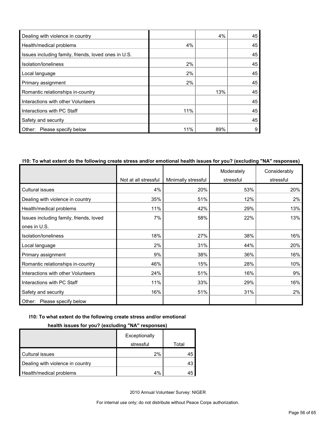| Dealing with violence in country                     |     | 4%  | 45 |
|------------------------------------------------------|-----|-----|----|
| Health/medical problems                              | 4%  |     | 45 |
| Issues including family, friends, loved ones in U.S. |     |     | 45 |
| Isolation/Ioneliness                                 | 2%  |     | 45 |
| Local language                                       | 2%  |     | 45 |
| Primary assignment                                   | 2%  |     | 45 |
| Romantic relationships in-country                    |     | 13% | 45 |
| Interactions with other Volunteers                   |     |     | 45 |
| Interactions with PC Staff                           | 11% |     | 45 |
| Safety and security                                  |     |     | 45 |
| Other: Please specify below                          | 11% | 89% | 9  |

# **I10: To what extent do the following create stress and/or emotional health issues for you? (excluding "NA" responses)**

|                                         |                      |                     | Moderately | Considerably |
|-----------------------------------------|----------------------|---------------------|------------|--------------|
|                                         | Not at all stressful | Minimally stressful | stressful  | stressful    |
| Cultural issues                         | 4%                   | 20%                 | 53%        | 20%          |
| Dealing with violence in country        | 35%                  | 51%                 | 12%        | $2\%$        |
| Health/medical problems                 | 11%                  | 42%                 | 29%        | 13%          |
| Issues including family, friends, loved | 7%                   | 58%                 | 22%        | 13%          |
| ones in U.S.                            |                      |                     |            |              |
| Isolation/loneliness                    | 18%                  | 27%                 | 38%        | 16%          |
| Local language                          | 2%                   | 31%                 | 44%        | 20%          |
| Primary assignment                      | 9%                   | 38%                 | 36%        | 16%          |
| Romantic relationships in-country       | 46%                  | 15%                 | 28%        | 10%          |
| Interactions with other Volunteers      | 24%                  | 51%                 | 16%        | 9%           |
| Interactions with PC Staff              | 11%                  | 33%                 | 29%        | 16%          |
| Safety and security                     | 16%                  | 51%                 | 31%        | 2%           |
| Please specify below<br>Other:          |                      |                     |            |              |

### **I10: To what extent do the following create stress and/or emotional**

# **health issues for you? (excluding "NA" responses)**

|                                  | Exceptionally |       |
|----------------------------------|---------------|-------|
|                                  | stressful     | Total |
| Cultural issues                  | 2%            | 45    |
| Dealing with violence in country |               | 43    |
| Health/medical problems          | 4%            | 45    |

2010 Annual Volunteer Survey: NIGER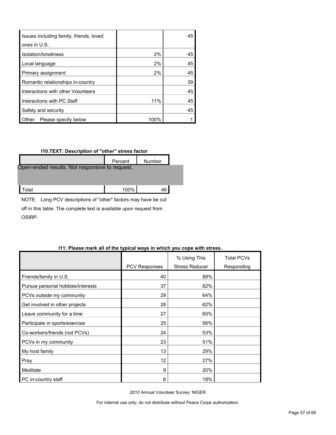| Issues including family, friends, loved |      | 45 |
|-----------------------------------------|------|----|
| ones in U.S.                            |      |    |
| Isolation/Ioneliness                    | 2%   | 45 |
| Local language                          | 2%   | 45 |
| Primary assignment                      | 2%   | 45 |
| Romantic relationships in-country       |      | 39 |
| Interactions with other Volunteers      |      | 45 |
| Interactions with PC Staff              | 11%  | 45 |
| Safety and security                     |      | 45 |
| Other: Please specify below             | 100% |    |

#### **I10.TEXT: Description of "other" stress factor**

|                                                | Percent | <b>Number</b> |  |  |  |  |  |
|------------------------------------------------|---------|---------------|--|--|--|--|--|
| Open-ended results. Not responsive to request. |         |               |  |  |  |  |  |
|                                                |         |               |  |  |  |  |  |
| ʻotal                                          | 100%    | 46            |  |  |  |  |  |

NOTE: Long PCV descriptions of "other" factors may have be cut off in this table. The complete text is available upon request from OSIRP.

|                                   |               | % Using This          | <b>Total PCVs</b> |
|-----------------------------------|---------------|-----------------------|-------------------|
|                                   | PCV Responses | <b>Stress Reducer</b> | Responding        |
| Friends/family in U.S.            | 40            | 89%                   |                   |
| Pursue personal hobbies/interests | 37            | 82%                   |                   |
| PCVs outside my community         | 29            | 64%                   |                   |
| Get involved in other projects    | 28            | 62%                   |                   |
| Leave community for a time        | 27            | 60%                   |                   |
| Participate in sports/exercise    | 25            | 56%                   |                   |
| Co-workers/friends (not PCVs)     | 24            | 53%                   |                   |
| PCVs in my community              | 23            | 51%                   |                   |
| My host family                    | 13            | 29%                   |                   |
| Pray                              | 12            | 27%                   |                   |
| Meditate                          | 9             | 20%                   |                   |
| PC in-country staff               | 8             | 18%                   |                   |

# **I11: Please mark all of the typical ways in which you cope with stress.**

2010 Annual Volunteer Survey: NIGER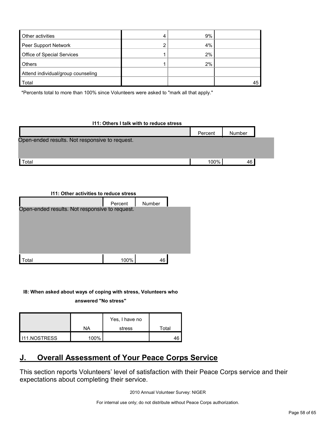| <b>Other activities</b>            | ↵ | 9% |    |
|------------------------------------|---|----|----|
| Peer Support Network               | ◠ | 4% |    |
| Office of Special Services         |   | 2% |    |
| <b>Others</b>                      |   | 2% |    |
| Attend individual/group counseling |   |    |    |
| Total                              |   |    | 45 |

\*Percents total to more than 100% since Volunteers were asked to "mark all that apply."

#### **I11: Others I talk with to reduce stress**

|                                                | Percent | Number |  |
|------------------------------------------------|---------|--------|--|
| Open-ended results. Not responsive to request. |         |        |  |
|                                                |         |        |  |
| Total                                          | 100%    | 46     |  |

| 111: Other activities to reduce stress         |         |        |  |  |  |  |  |
|------------------------------------------------|---------|--------|--|--|--|--|--|
|                                                | Percent | Number |  |  |  |  |  |
| Open-ended results. Not responsive to request. |         |        |  |  |  |  |  |
|                                                |         |        |  |  |  |  |  |
|                                                |         |        |  |  |  |  |  |
|                                                |         |        |  |  |  |  |  |
|                                                |         |        |  |  |  |  |  |
| <sup>-</sup> otal                              | 100%    |        |  |  |  |  |  |

**I8: When asked about ways of coping with stress, Volunteers who answered "No stress"** 

|                     |      | Yes, I have no |       |
|---------------------|------|----------------|-------|
|                     | ΝA   | stress         | Total |
| <b>I11.NOSTRESS</b> | 100% |                | 46    |

# <span id="page-57-0"></span>**J. Overall Assessment of Your Peace Corps Service**

This section reports Volunteers' level of satisfaction with their Peace Corps service and their expectations about completing their service.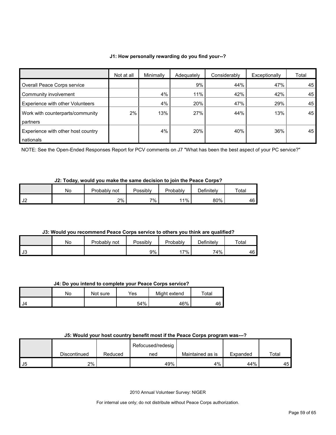#### **J1: How personally rewarding do you find your--?**

|                                         | Not at all | Minimally | Adequately | Considerably | Exceptionally | Total |
|-----------------------------------------|------------|-----------|------------|--------------|---------------|-------|
| Overall Peace Corps service             |            |           | 9%         | 44%          | 47%           | 45    |
| Community involvement                   |            | 4%        | 11%        | 42%          | 42%           | 45    |
| <b>Experience with other Volunteers</b> |            | 4%        | 20%        | 47%          | 29%           | 45    |
| Work with counterparts/community        | 2%         | 13%       | 27%        | 44%          | 13%           | 45    |
| partners                                |            |           |            |              |               |       |
| Experience with other host country      |            | 4%        | 20%        | 40%          | 36%           | 45    |
| nationals                               |            |           |            |              |               |       |

NOTE: See the Open-Ended Responses Report for PCV comments on J7 "What has been the best aspect of your PC service?"

# **J2: Today, would you make the same decision to join the Peace Corps?**

|          | Νo | Probably not | Possibly | Probably | Definitely | Total |
|----------|----|--------------|----------|----------|------------|-------|
| ıc<br>◡∠ |    | 2%           | 7%       | 11%      | 80%        | 46    |

#### **J3: Would you recommend Peace Corps service to others you think are qualified?**

|      | N٥ | Probably<br>not | Possibly | Probably | Definitelv | $\tau$ otal |
|------|----|-----------------|----------|----------|------------|-------------|
| l J3 |    |                 | 9%       | 7%       | 74%        | 46          |

# **J4: Do you intend to complete your Peace Corps service?**

|      | No | Not sure | $\mathsf{v}_{\mathsf{es}}$ | Might extend | $\tau$ otal |
|------|----|----------|----------------------------|--------------|-------------|
| - J4 |    |          | 54%                        | 46%          | 46          |

#### **J5: Would your host country benefit most if the Peace Corps program was---?**

|      |              |         | Refocused/redesig |                  |          |       |
|------|--------------|---------|-------------------|------------------|----------|-------|
|      | Discontinued | Reduced | ned               | Maintained as is | Expanded | Total |
| l J5 | 2%           |         | 49%               | 4%               | 44%      | 45    |

2010 Annual Volunteer Survey: NIGER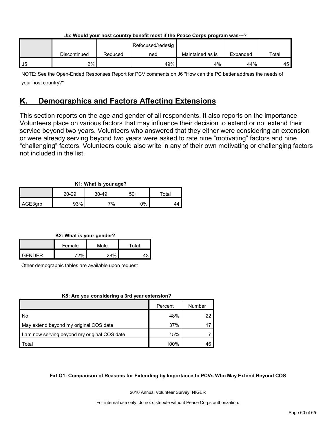|    | <u>aai 11 amin 1201 11201 aaniin 1 mailaili illaatii 1110 1 amaa walaa middimii 1100</u> |         |                   |                  |          |       |
|----|------------------------------------------------------------------------------------------|---------|-------------------|------------------|----------|-------|
|    |                                                                                          |         | Refocused/redesig |                  |          |       |
|    | Discontinued                                                                             | Reduced | ned               | Maintained as is | Expanded | Total |
| J5 | 2%                                                                                       |         | 49%               | 4%               | 44%      | 45    |

**J5: Would your host country benefit most if the Peace Corps program was---?**

NOTE: See the Open-Ended Responses Report for PCV comments on J6 "How can the PC better address the needs of your host country?"

# <span id="page-59-0"></span>**K. Demographics and Factors Affecting Extensions**

This section reports on the age and gender of all respondents. It also reports on the importance Volunteers place on various factors that may influence their decision to extend or not extend their service beyond two years. Volunteers who answered that they either were considering an extension or were already serving beyond two years were asked to rate nine "motivating" factors and nine "challenging" factors. Volunteers could also write in any of their own motivating or challenging factors not included in the list.

# **K1: What is your age?**

|         |       |       | $\sim$ |             |  |
|---------|-------|-------|--------|-------------|--|
|         | 20-29 | 30-49 | 50+    | $\tau$ otal |  |
| AGE3grp | 93%   | 7%    | ገ%     |             |  |

# **K2: What is your gender?**

|               | Female | Male  | $^\mathsf{\tau}$ otal |
|---------------|--------|-------|-----------------------|
| <b>CENDER</b> | 700/   | າຊ0⁄_ | ר ו                   |

Other demographic tables are available upon request

# **K8: Are you considering a 3rd year extension?**

|                                              | Percent | Number |
|----------------------------------------------|---------|--------|
| l No                                         | 48%     | 22     |
| May extend beyond my original COS date       | 37%     |        |
| I am now serving beyond my original COS date | 15%     |        |
| Total                                        | 100%    | 46     |

# **Ext Q1: Comparison of Reasons for Extending by Importance to PCVs Who May Extend Beyond COS**

2010 Annual Volunteer Survey: NIGER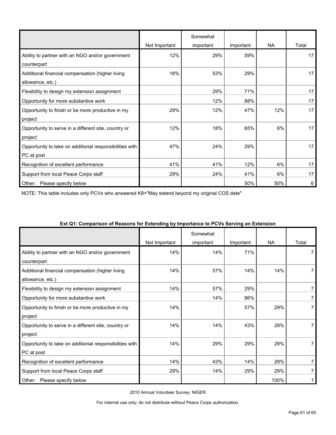|                                                         |               | Somewhat  |           |           |       |
|---------------------------------------------------------|---------------|-----------|-----------|-----------|-------|
|                                                         | Not Important | important | Important | <b>NA</b> | Total |
| Ability to partner with an NGO and/or government        | 12%           | 29%       | 59%       |           | 17    |
| counterpart                                             |               |           |           |           |       |
| Additional financial compensation (higher living        | 18%           | 53%       | 29%       |           | 17    |
| allowance, etc.)                                        |               |           |           |           |       |
| Flexibility to design my extension assignment           |               | 29%       | 71%       |           | 17    |
| Opportunity for more substantive work                   |               | 12%       | 88%       |           | 17    |
| Opportunity to finish or be more productive in my       | 29%           | 12%       | 47%       | 12%       | 17    |
| project                                                 |               |           |           |           |       |
| Opportunity to serve in a different site, country or    | 12%           | 18%       | 65%       | 6%        | 17    |
| project                                                 |               |           |           |           |       |
| Opportunity to take on additional responsibilities with | 47%           | 24%       | 29%       |           | 17    |
| PC at post                                              |               |           |           |           |       |
| Recognition of excellent performance                    | 41%           | 41%       | 12%       | 6%        | 17    |
| Support from local Peace Corps staff                    | 29%           | 24%       | 41%       | 6%        | 17    |
| Other:<br>Please specify below                          |               |           | 50%       | 50%       | 6     |

NOTE: This table includes only PCVs who answered K8="May extend beyond my original COS date"

| a companion. or nowoono for extensing by importance to field corring an extent | Not Important | Somewhat<br>important | Important | <b>NA</b> | Total |
|--------------------------------------------------------------------------------|---------------|-----------------------|-----------|-----------|-------|
| Ability to partner with an NGO and/or government<br>counterpart                | 14%           | 14%                   | 71%       |           |       |
| Additional financial compensation (higher living<br>allowance, etc.)           | 14%           | 57%                   | 14%       | 14%       |       |
| Flexibility to design my extension assignment                                  | 14%           | 57%                   | 29%       |           | 7     |
| Opportunity for more substantive work                                          |               | 14%                   | 86%       |           |       |
| Opportunity to finish or be more productive in my<br>project                   | 14%           |                       | 57%       | 29%       |       |
| Opportunity to serve in a different site, country or<br>project                | 14%           | 14%                   | 43%       | 29%       |       |
| Opportunity to take on additional responsibilities with<br>PC at post          | 14%           | 29%                   | 29%       | 29%       |       |
| Recognition of excellent performance                                           | 14%           | 43%                   | 14%       | 29%       | 7     |
| Support from local Peace Corps staff                                           | 29%           | 14%                   | 29%       | 29%       |       |
| Please specify below<br>Other:                                                 |               |                       |           | 100%      |       |

#### **Ext Q1: Comparison of Reasons for Extending by Importance to PCVs Serving an Extension**

2010 Annual Volunteer Survey: NIGER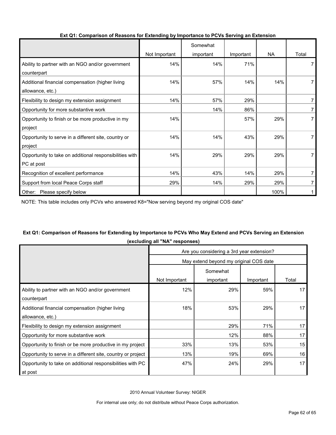|                                                         |               | Somewhat  |           |           |       |
|---------------------------------------------------------|---------------|-----------|-----------|-----------|-------|
|                                                         | Not Important | important | Important | <b>NA</b> | Total |
| Ability to partner with an NGO and/or government        | 14%           | 14%       | 71%       |           |       |
| counterpart                                             |               |           |           |           |       |
| Additional financial compensation (higher living        | 14%           | 57%       | 14%       | 14%       |       |
| allowance, etc.)                                        |               |           |           |           |       |
| Flexibility to design my extension assignment           | 14%           | 57%       | 29%       |           |       |
| Opportunity for more substantive work                   |               | 14%       | 86%       |           | 7     |
| Opportunity to finish or be more productive in my       | 14%           |           | 57%       | 29%       |       |
| project                                                 |               |           |           |           |       |
| Opportunity to serve in a different site, country or    | 14%           | 14%       | 43%       | 29%       |       |
| project                                                 |               |           |           |           |       |
| Opportunity to take on additional responsibilities with | 14%           | 29%       | 29%       | 29%       |       |
| PC at post                                              |               |           |           |           |       |
| Recognition of excellent performance                    | 14%           | 43%       | 14%       | 29%       |       |
| Support from local Peace Corps staff                    | 29%           | 14%       | 29%       | 29%       |       |
| Other: Please specify below                             |               |           |           | 100%      |       |

#### **Ext Q1: Comparison of Reasons for Extending by Importance to PCVs Serving an Extension**

NOTE: This table includes only PCVs who answered K8="Now serving beyond my original COS date"

# **Ext Q1: Comparison of Reasons for Extending by Importance to PCVs Who May Extend and PCVs Serving an Extension (excluding all "NA" responses)**

|                                                              | Are you considering a 3rd year extension? |           |           |       |  |
|--------------------------------------------------------------|-------------------------------------------|-----------|-----------|-------|--|
|                                                              | May extend beyond my original COS date    |           |           |       |  |
|                                                              | Somewhat                                  |           |           |       |  |
|                                                              | Not Important                             | important | Important | Total |  |
| Ability to partner with an NGO and/or government             | 12%                                       | 29%       | 59%       | 17    |  |
| counterpart                                                  |                                           |           |           |       |  |
| Additional financial compensation (higher living             | 18%                                       | 53%       | 29%       | 17    |  |
| allowance, etc.)                                             |                                           |           |           |       |  |
| Flexibility to design my extension assignment                |                                           | 29%       | 71%       | 17    |  |
| Opportunity for more substantive work                        |                                           | 12%       | 88%       | 17    |  |
| Opportunity to finish or be more productive in my project    | 33%                                       | 13%       | 53%       | 15    |  |
| Opportunity to serve in a different site, country or project | 13%                                       | 19%       | 69%       | 16    |  |
| Opportunity to take on additional responsibilities with PC   | 47%                                       | 24%       | 29%       | 17    |  |
| at post                                                      |                                           |           |           |       |  |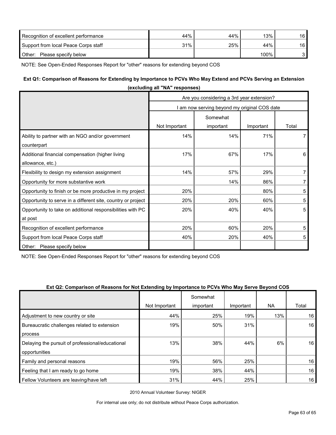| Recognition of excellent performance | 44% | 44% | 13%  | 16 |
|--------------------------------------|-----|-----|------|----|
| Support from local Peace Corps staff | 31% | 25% | 44%  | 16 |
| Other:<br>Please specify below       |     |     | 100% |    |

NOTE: See Open-Ended Responses Report for "other" reasons for extending beyond COS

# **Ext Q1: Comparison of Reasons for Extending by Importance to PCVs Who May Extend and PCVs Serving an Extension**

| (excluding all "NA" responses)                                        |                                              |           |           |                |  |
|-----------------------------------------------------------------------|----------------------------------------------|-----------|-----------|----------------|--|
|                                                                       | Are you considering a 3rd year extension?    |           |           |                |  |
|                                                                       | I am now serving beyond my original COS date |           |           |                |  |
|                                                                       |                                              | Somewhat  |           |                |  |
|                                                                       | Not Important                                | important | Important | Total          |  |
| Ability to partner with an NGO and/or government<br>counterpart       | 14%                                          | 14%       | 71%       | $\overline{7}$ |  |
| Additional financial compensation (higher living<br>allowance, etc.)  | 17%                                          | 67%       | 17%       | 6              |  |
| Flexibility to design my extension assignment                         | 14%                                          | 57%       | 29%       | $\overline{7}$ |  |
| Opportunity for more substantive work                                 |                                              | 14%       | 86%       | $\overline{7}$ |  |
| Opportunity to finish or be more productive in my project             | 20%                                          |           | 80%       | 5              |  |
| Opportunity to serve in a different site, country or project          | 20%                                          | 20%       | 60%       | 5              |  |
| Opportunity to take on additional responsibilities with PC<br>at post | 20%                                          | 40%       | 40%       | 5              |  |
| Recognition of excellent performance                                  | 20%                                          | 60%       | 20%       | 5              |  |
| Support from local Peace Corps staff                                  | 40%                                          | 20%       | 40%       | 5              |  |
| Please specify below<br>Other:                                        |                                              |           |           |                |  |

**(excluding all "NA" responses)**

NOTE: See Open-Ended Responses Report for "other" reasons for extending beyond COS

#### **Ext Q2: Comparison of Reasons for Not Extending by Importance to PCVs Who May Serve Beyond COS**

|                                                  |               | Somewhat  |           |           |       |
|--------------------------------------------------|---------------|-----------|-----------|-----------|-------|
|                                                  | Not Important | important | Important | <b>NA</b> | Total |
| Adjustment to new country or site                | 44%           | 25%       | 19%       | 13%       | 16    |
| Bureaucratic challenges related to extension     | 19%           | 50%       | 31%       |           | 16    |
| process                                          |               |           |           |           |       |
| Delaying the pursuit of professional/educational | 13%           | 38%       | 44%       | 6%        | 16    |
| opportunities                                    |               |           |           |           |       |
| Family and personal reasons                      | 19%           | 56%       | 25%       |           | 16    |
| Feeling that I am ready to go home               | 19%           | 38%       | 44%       |           | 16    |
| Fellow Volunteers are leaving/have left          | 31%           | 44%       | 25%       |           | 16    |

2010 Annual Volunteer Survey: NIGER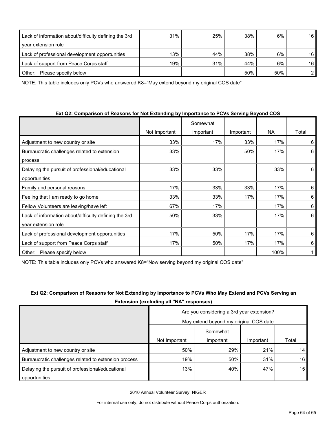| Lack of information about/difficulty defining the 3rd | 31% | 25% | 38% | 6%  | 16 |
|-------------------------------------------------------|-----|-----|-----|-----|----|
| year extension role                                   |     |     |     |     |    |
| Lack of professional development opportunities        | 13% | 44% | 38% | 6%  | 16 |
| Lack of support from Peace Corps staff                | 19% | 31% | 44% | 6%  | 16 |
| Please specify below<br>Other:                        |     |     | 50% | 50% |    |

NOTE: This table includes only PCVs who answered K8="May extend beyond my original COS date"

| Ext Q2: Comparison of Reasons for Not Extending by Importance to PCVs Serving Beyond COS |  |
|------------------------------------------------------------------------------------------|--|
|------------------------------------------------------------------------------------------|--|

|                                                       |               | Somewhat  |           |           |       |
|-------------------------------------------------------|---------------|-----------|-----------|-----------|-------|
|                                                       | Not Important | important | Important | <b>NA</b> | Total |
| Adjustment to new country or site                     | 33%           | 17%       | 33%       | 17%       | 6     |
| Bureaucratic challenges related to extension          | 33%           |           | 50%       | 17%       | 6     |
| process                                               |               |           |           |           |       |
| Delaying the pursuit of professional/educational      | 33%           | 33%       |           | 33%       | 6     |
| opportunities                                         |               |           |           |           |       |
| Family and personal reasons                           | 17%           | 33%       | 33%       | 17%       | 6     |
| Feeling that I am ready to go home                    | 33%           | 33%       | 17%       | 17%       | 6     |
| Fellow Volunteers are leaving/have left               | 67%           | 17%       |           | 17%       | 6     |
| Lack of information about/difficulty defining the 3rd | 50%           | 33%       |           | 17%       | 6     |
| year extension role                                   |               |           |           |           |       |
| Lack of professional development opportunities        | 17%           | 50%       | 17%       | 17%       | 6     |
| Lack of support from Peace Corps staff                | 17%           | 50%       | 17%       | 17%       | 6     |
| Please specify below<br>Other:                        |               |           |           | 100%      |       |

NOTE: This table includes only PCVs who answered K8="Now serving beyond my original COS date"

|                                                      | Extension (excluding all "NA" responses)  |           |           |       |
|------------------------------------------------------|-------------------------------------------|-----------|-----------|-------|
|                                                      | Are you considering a 3rd year extension? |           |           |       |
|                                                      | May extend beyond my original COS date    |           |           |       |
|                                                      |                                           | Somewhat  |           |       |
|                                                      | Not Important                             | important | Important | Total |
| Adjustment to new country or site                    | 50%                                       | 29%       | 21%       | 14    |
| Bureaucratic challenges related to extension process | 19%                                       | 50%       | 31%       | 16    |
| Delaying the pursuit of professional/educational     | 13%                                       | 40%       | 47%       | 15    |
| opportunities                                        |                                           |           |           |       |

# **Ext Q2: Comparison of Reasons for Not Extending by Importance to PCVs Who May Extend and PCVs Serving an**

2010 Annual Volunteer Survey: NIGER